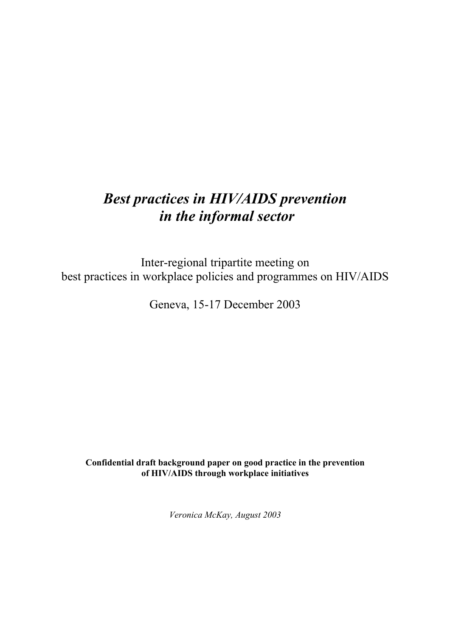# *Best practices in HIV/AIDS prevention in the informal sector*

Inter-regional tripartite meeting on best practices in workplace policies and programmes on HIV/AIDS

Geneva, 15-17 December 2003

**Confidential draft background paper on good practice in the prevention of HIV/AIDS through workplace initiatives**

*Veronica McKay, August 2003*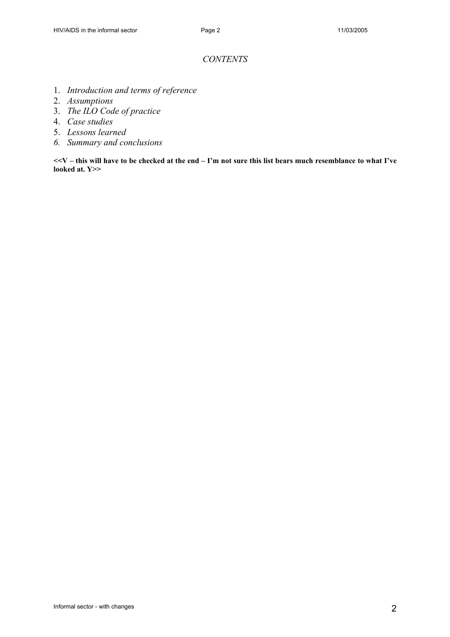# *CONTENTS*

- 1. *Introduction and terms of reference*
- 2. *Assumptions*
- 3. *The ILO Code of practice*
- 4. *Case studies*
- 5. *Lessons learned*
- *6. Summary and conclusions*

**<<V – this will have to be checked at the end – I'm not sure this list bears much resemblance to what I've looked at. Y>>**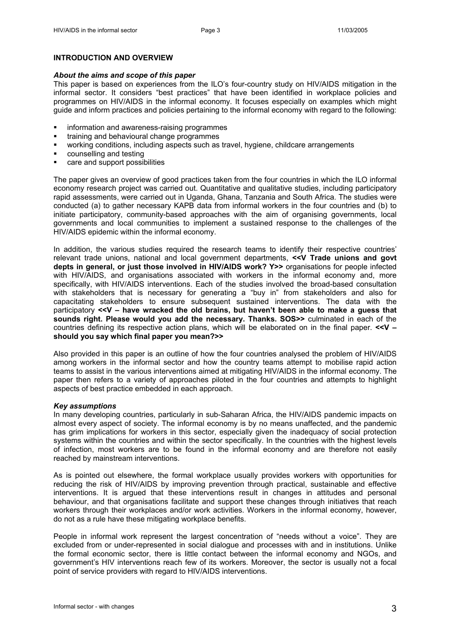## **INTRODUCTION AND OVERVIEW**

#### *About the aims and scope of this paper*

This paper is based on experiences from the ILO's four-country study on HIV/AIDS mitigation in the informal sector. It considers "best practices" that have been identified in workplace policies and programmes on HIV/AIDS in the informal economy. It focuses especially on examples which might guide and inform practices and policies pertaining to the informal economy with regard to the following:

- information and awareness-raising programmes
- training and behavioural change programmes
- working conditions, including aspects such as travel, hygiene, childcare arrangements
- **•** counselling and testing
- care and support possibilities

The paper gives an overview of good practices taken from the four countries in which the ILO informal economy research project was carried out. Quantitative and qualitative studies, including participatory rapid assessments, were carried out in Uganda, Ghana, Tanzania and South Africa. The studies were conducted (a) to gather necessary KAPB data from informal workers in the four countries and (b) to initiate participatory, community-based approaches with the aim of organising governments, local governments and local communities to implement a sustained response to the challenges of the HIV/AIDS epidemic within the informal economy.

In addition, the various studies required the research teams to identify their respective countries' relevant trade unions, national and local government departments, **<<V Trade unions and govt depts in general, or just those involved in HIV/AIDS work? Y>>** organisations for people infected with HIV/AIDS, and organisations associated with workers in the informal economy and, more specifically, with HIV/AIDS interventions. Each of the studies involved the broad-based consultation with stakeholders that is necessary for generating a "buy in" from stakeholders and also for capacitating stakeholders to ensure subsequent sustained interventions. The data with the participatory **<<V – have wracked the old brains, but haven't been able to make a guess that sounds right. Please would you add the necessary. Thanks. SOS>>** culminated in each of the countries defining its respective action plans, which will be elaborated on in the final paper. **<<V – should you say which final paper you mean?>>** 

Also provided in this paper is an outline of how the four countries analysed the problem of HIV/AIDS among workers in the informal sector and how the country teams attempt to mobilise rapid action teams to assist in the various interventions aimed at mitigating HIV/AIDS in the informal economy. The paper then refers to a variety of approaches piloted in the four countries and attempts to highlight aspects of best practice embedded in each approach.

#### *Key assumptions*

In many developing countries, particularly in sub-Saharan Africa, the HIV/AIDS pandemic impacts on almost every aspect of society. The informal economy is by no means unaffected, and the pandemic has grim implications for workers in this sector, especially given the inadequacy of social protection systems within the countries and within the sector specifically. In the countries with the highest levels of infection, most workers are to be found in the informal economy and are therefore not easily reached by mainstream interventions.

As is pointed out elsewhere, the formal workplace usually provides workers with opportunities for reducing the risk of HIV/AIDS by improving prevention through practical, sustainable and effective interventions. It is argued that these interventions result in changes in attitudes and personal behaviour, and that organisations facilitate and support these changes through initiatives that reach workers through their workplaces and/or work activities. Workers in the informal economy, however, do not as a rule have these mitigating workplace benefits.

People in informal work represent the largest concentration of "needs without a voice". They are excluded from or under-represented in social dialogue and processes with and in institutions. Unlike the formal economic sector, there is little contact between the informal economy and NGOs, and government's HIV interventions reach few of its workers. Moreover, the sector is usually not a focal point of service providers with regard to HIV/AIDS interventions.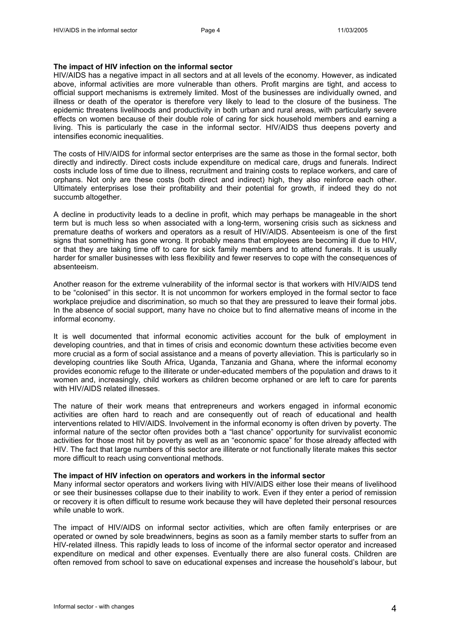#### **The impact of HIV infection on the informal sector**

HIV/AIDS has a negative impact in all sectors and at all levels of the economy. However, as indicated above, informal activities are more vulnerable than others. Profit margins are tight, and access to official support mechanisms is extremely limited. Most of the businesses are individually owned, and illness or death of the operator is therefore very likely to lead to the closure of the business. The epidemic threatens livelihoods and productivity in both urban and rural areas, with particularly severe effects on women because of their double role of caring for sick household members and earning a living. This is particularly the case in the informal sector. HIV/AIDS thus deepens poverty and intensifies economic inequalities.

The costs of HIV/AIDS for informal sector enterprises are the same as those in the formal sector, both directly and indirectly. Direct costs include expenditure on medical care, drugs and funerals. Indirect costs include loss of time due to illness, recruitment and training costs to replace workers, and care of orphans. Not only are these costs (both direct and indirect) high, they also reinforce each other. Ultimately enterprises lose their profitability and their potential for growth, if indeed they do not succumb altogether.

A decline in productivity leads to a decline in profit, which may perhaps be manageable in the short term but is much less so when associated with a long-term, worsening crisis such as sickness and premature deaths of workers and operators as a result of HIV/AIDS. Absenteeism is one of the first signs that something has gone wrong. It probably means that employees are becoming ill due to HIV, or that they are taking time off to care for sick family members and to attend funerals. It is usually harder for smaller businesses with less flexibility and fewer reserves to cope with the consequences of absenteeism.

Another reason for the extreme vulnerability of the informal sector is that workers with HIV/AIDS tend to be "colonised" in this sector. It is not uncommon for workers employed in the formal sector to face workplace prejudice and discrimination, so much so that they are pressured to leave their formal jobs. In the absence of social support, many have no choice but to find alternative means of income in the informal economy.

It is well documented that informal economic activities account for the bulk of employment in developing countries, and that in times of crisis and economic downturn these activities become even more crucial as a form of social assistance and a means of poverty alleviation. This is particularly so in developing countries like South Africa, Uganda, Tanzania and Ghana, where the informal economy provides economic refuge to the illiterate or under-educated members of the population and draws to it women and, increasingly, child workers as children become orphaned or are left to care for parents with HIV/AIDS related illnesses.

The nature of their work means that entrepreneurs and workers engaged in informal economic activities are often hard to reach and are consequently out of reach of educational and health interventions related to HIV/AIDS. Involvement in the informal economy is often driven by poverty. The informal nature of the sector often provides both a "last chance" opportunity for survivalist economic activities for those most hit by poverty as well as an "economic space" for those already affected with HIV. The fact that large numbers of this sector are illiterate or not functionally literate makes this sector more difficult to reach using conventional methods.

## **The impact of HIV infection on operators and workers in the informal sector**

Many informal sector operators and workers living with HIV/AIDS either lose their means of livelihood or see their businesses collapse due to their inability to work. Even if they enter a period of remission or recovery it is often difficult to resume work because they will have depleted their personal resources while unable to work.

The impact of HIV/AIDS on informal sector activities, which are often family enterprises or are operated or owned by sole breadwinners, begins as soon as a family member starts to suffer from an HIV-related illness. This rapidly leads to loss of income of the informal sector operator and increased expenditure on medical and other expenses. Eventually there are also funeral costs. Children are often removed from school to save on educational expenses and increase the household's labour, but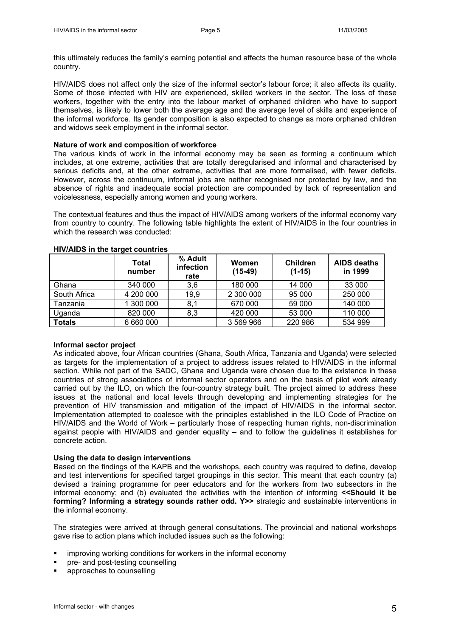this ultimately reduces the family's earning potential and affects the human resource base of the whole country.

HIV/AIDS does not affect only the size of the informal sector's labour force; it also affects its quality. Some of those infected with HIV are experienced, skilled workers in the sector. The loss of these workers, together with the entry into the labour market of orphaned children who have to support themselves, is likely to lower both the average age and the average level of skills and experience of the informal workforce. Its gender composition is also expected to change as more orphaned children and widows seek employment in the informal sector.

## **Nature of work and composition of workforce**

The various kinds of work in the informal economy may be seen as forming a continuum which includes, at one extreme, activities that are totally deregularised and informal and characterised by serious deficits and, at the other extreme, activities that are more formalised, with fewer deficits. However, across the continuum, informal jobs are neither recognised nor protected by law, and the absence of rights and inadequate social protection are compounded by lack of representation and voicelessness, especially among women and young workers.

The contextual features and thus the impact of HIV/AIDS among workers of the informal economy vary from country to country. The following table highlights the extent of HIV/AIDS in the four countries in which the research was conducted:

|               | Total<br>number | % Adult<br>infection<br>rate | <b>Women</b><br>$(15-49)$ | <b>Children</b><br>$(1-15)$ | AIDS deaths<br>in 1999 |
|---------------|-----------------|------------------------------|---------------------------|-----------------------------|------------------------|
| Ghana         | 340 000         | 3,6                          | 180 000                   | 14 000                      | 33 000                 |
| South Africa  | 4 200 000       | 19,9                         | 2 300 000                 | 95 000                      | 250 000                |
| Tanzania      | 1 300 000       | 8,1                          | 670 000                   | 59 000                      | 140 000                |
| Uganda        | 820 000         | 8,3                          | 420 000                   | 53 000                      | 110 000                |
| <b>Totals</b> | 6 660 000       |                              | 3 569 966                 | 220 986                     | 534 999                |

#### **HIV/AIDS in the target countries**

## **Informal sector project**

As indicated above, four African countries (Ghana, South Africa, Tanzania and Uganda) were selected as targets for the implementation of a project to address issues related to HIV/AIDS in the informal section. While not part of the SADC, Ghana and Uganda were chosen due to the existence in these countries of strong associations of informal sector operators and on the basis of pilot work already carried out by the ILO, on which the four-country strategy built. The project aimed to address these issues at the national and local levels through developing and implementing strategies for the prevention of HIV transmission and mitigation of the impact of HIV/AIDS in the informal sector. Implementation attempted to coalesce with the principles established in the ILO Code of Practice on HIV/AIDS and the World of Work – particularly those of respecting human rights, non-discrimination against people with HIV/AIDS and gender equality – and to follow the guidelines it establishes for concrete action.

## **Using the data to design interventions**

Based on the findings of the KAPB and the workshops, each country was required to define, develop and test interventions for specified target groupings in this sector. This meant that each country (a) devised a training programme for peer educators and for the workers from two subsectors in the informal economy; and (b) evaluated the activities with the intention of informing **<<Should it be forming? Informing a strategy sounds rather odd. Y>>** strategic and sustainable interventions in the informal economy.

The strategies were arrived at through general consultations. The provincial and national workshops gave rise to action plans which included issues such as the following:

- improving working conditions for workers in the informal economy
- pre- and post-testing counselling
- approaches to counselling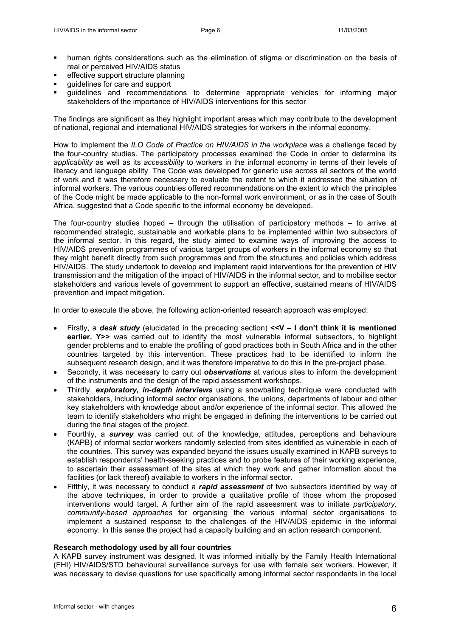- human rights considerations such as the elimination of stigma or discrimination on the basis of real or perceived HIV/AIDS status
- effective support structure planning
- guidelines for care and support
- guidelines and recommendations to determine appropriate vehicles for informing major stakeholders of the importance of HIV/AIDS interventions for this sector

The findings are significant as they highlight important areas which may contribute to the development of national, regional and international HIV/AIDS strategies for workers in the informal economy.

How to implement the *ILO Code of Practice on HIV/AIDS in the workplace* was a challenge faced by the four-country studies. The participatory processes examined the Code in order to determine its *applicability* as well as its *accessibility* to workers in the informal economy in terms of their levels of literacy and language ability. The Code was developed for generic use across all sectors of the world of work and it was therefore necessary to evaluate the extent to which it addressed the situation of informal workers. The various countries offered recommendations on the extent to which the principles of the Code might be made applicable to the non-formal work environment, or as in the case of South Africa, suggested that a Code specific to the informal economy be developed.

The four-country studies hoped – through the utilisation of participatory methods – to arrive at recommended strategic, sustainable and workable plans to be implemented within two subsectors of the informal sector. In this regard, the study aimed to examine ways of improving the access to HIV/AIDS prevention programmes of various target groups of workers in the informal economy so that they might benefit directly from such programmes and from the structures and policies which address HIV/AIDS. The study undertook to develop and implement rapid interventions for the prevention of HIV transmission and the mitigation of the impact of HIV/AIDS in the informal sector, and to mobilise sector stakeholders and various levels of government to support an effective, sustained means of HIV/AIDS prevention and impact mitigation.

In order to execute the above, the following action-oriented research approach was employed:

- Firstly, a *desk study* (elucidated in the preceding section) **<<V I don't think it is mentioned earlier. Y>>** was carried out to identify the most vulnerable informal subsectors, to highlight gender problems and to enable the profiling of good practices both in South Africa and in the other countries targeted by this intervention. These practices had to be identified to inform the subsequent research design, and it was therefore imperative to do this in the pre-project phase.
- Secondly, it was necessary to carry out *observations* at various sites to inform the development of the instruments and the design of the rapid assessment workshops.
- Thirdly, *exploratory, in-depth interviews* using a snowballing technique were conducted with stakeholders, including informal sector organisations, the unions, departments of labour and other key stakeholders with knowledge about and/or experience of the informal sector. This allowed the team to identify stakeholders who might be engaged in defining the interventions to be carried out during the final stages of the project.
- Fourthly, a *survey* was carried out of the knowledge, attitudes, perceptions and behaviours (KAPB) of informal sector workers randomly selected from sites identified as vulnerable in each of the countries. This survey was expanded beyond the issues usually examined in KAPB surveys to establish respondents' health-seeking practices and to probe features of their working experience, to ascertain their assessment of the sites at which they work and gather information about the facilities (or lack thereof) available to workers in the informal sector.
- Fifthly, it was necessary to conduct a *rapid assessment* of two subsectors identified by way of the above techniques, in order to provide a qualitative profile of those whom the proposed interventions would target. A further aim of the rapid assessment was to initiate *participatory, community-based approaches* for organising the various informal sector organisations to implement a sustained response to the challenges of the HIV/AIDS epidemic in the informal economy. In this sense the project had a capacity building and an action research component.

#### **Research methodology used by all four countries**

A KAPB survey instrument was designed. It was informed initially by the Family Health International (FHI) HIV/AIDS/STD behavioural surveillance surveys for use with female sex workers. However, it was necessary to devise questions for use specifically among informal sector respondents in the local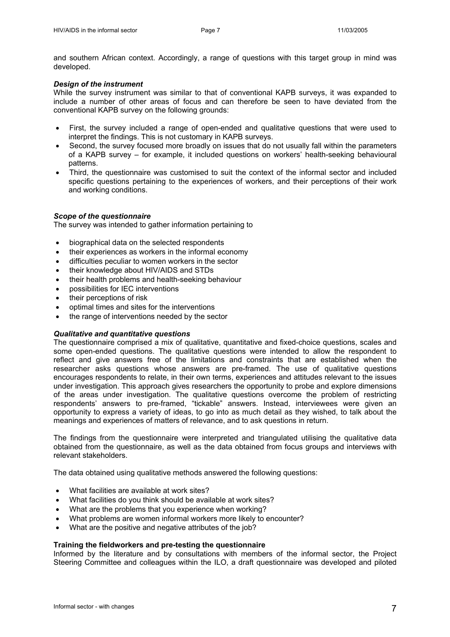and southern African context. Accordingly, a range of questions with this target group in mind was developed.

## *Design of the instrument*

While the survey instrument was similar to that of conventional KAPB surveys, it was expanded to include a number of other areas of focus and can therefore be seen to have deviated from the conventional KAPB survey on the following grounds:

- First, the survey included a range of open-ended and qualitative questions that were used to interpret the findings. This is not customary in KAPB surveys.
- Second, the survey focused more broadly on issues that do not usually fall within the parameters of a KAPB survey – for example, it included questions on workers' health-seeking behavioural patterns.
- Third, the questionnaire was customised to suit the context of the informal sector and included specific questions pertaining to the experiences of workers, and their perceptions of their work and working conditions.

## *Scope of the questionnaire*

The survey was intended to gather information pertaining to

- biographical data on the selected respondents
- their experiences as workers in the informal economy
- difficulties peculiar to women workers in the sector
- their knowledge about HIV/AIDS and STDs
- their health problems and health-seeking behaviour
- possibilities for IEC interventions
- their perceptions of risk
- optimal times and sites for the interventions
- the range of interventions needed by the sector

## *Qualitative and quantitative questions*

The questionnaire comprised a mix of qualitative, quantitative and fixed-choice questions, scales and some open-ended questions. The qualitative questions were intended to allow the respondent to reflect and give answers free of the limitations and constraints that are established when the researcher asks questions whose answers are pre-framed. The use of qualitative questions encourages respondents to relate, in their own terms, experiences and attitudes relevant to the issues under investigation. This approach gives researchers the opportunity to probe and explore dimensions of the areas under investigation. The qualitative questions overcome the problem of restricting respondents' answers to pre-framed, "tickable" answers. Instead, interviewees were given an opportunity to express a variety of ideas, to go into as much detail as they wished, to talk about the meanings and experiences of matters of relevance, and to ask questions in return.

The findings from the questionnaire were interpreted and triangulated utilising the qualitative data obtained from the questionnaire, as well as the data obtained from focus groups and interviews with relevant stakeholders.

The data obtained using qualitative methods answered the following questions:

- What facilities are available at work sites?
- What facilities do you think should be available at work sites?
- What are the problems that you experience when working?
- What problems are women informal workers more likely to encounter?
- What are the positive and negative attributes of the job?

# **Training the fieldworkers and pre-testing the questionnaire**

Informed by the literature and by consultations with members of the informal sector, the Project Steering Committee and colleagues within the ILO, a draft questionnaire was developed and piloted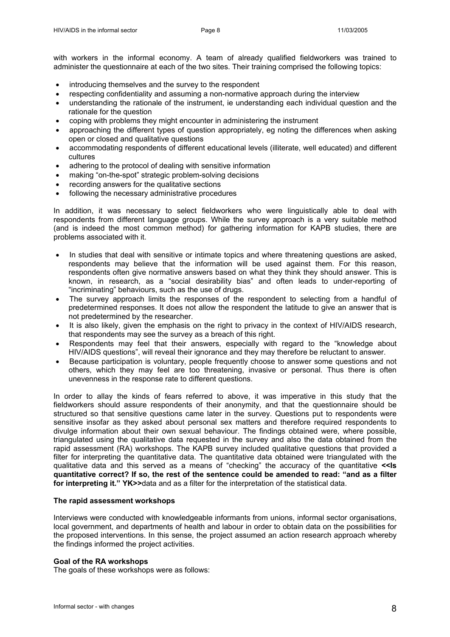with workers in the informal economy. A team of already qualified fieldworkers was trained to administer the questionnaire at each of the two sites. Their training comprised the following topics:

- introducing themselves and the survey to the respondent
- respecting confidentiality and assuming a non-normative approach during the interview
- understanding the rationale of the instrument, ie understanding each individual question and the rationale for the question
- coping with problems they might encounter in administering the instrument
- approaching the different types of question appropriately, eg noting the differences when asking open or closed and qualitative questions
- accommodating respondents of different educational levels (illiterate, well educated) and different cultures
- adhering to the protocol of dealing with sensitive information
- making "on-the-spot" strategic problem-solving decisions
- recording answers for the qualitative sections
- following the necessary administrative procedures

In addition, it was necessary to select fieldworkers who were linguistically able to deal with respondents from different language groups. While the survey approach is a very suitable method (and is indeed the most common method) for gathering information for KAPB studies, there are problems associated with it.

- In studies that deal with sensitive or intimate topics and where threatening questions are asked, respondents may believe that the information will be used against them. For this reason, respondents often give normative answers based on what they think they should answer. This is known, in research, as a "social desirability bias" and often leads to under-reporting of "incriminating" behaviours, such as the use of drugs.
- The survey approach limits the responses of the respondent to selecting from a handful of predetermined responses. It does not allow the respondent the latitude to give an answer that is not predetermined by the researcher.
- It is also likely, given the emphasis on the right to privacy in the context of HIV/AIDS research, that respondents may see the survey as a breach of this right.
- Respondents may feel that their answers, especially with regard to the "knowledge about HIV/AIDS questions", will reveal their ignorance and they may therefore be reluctant to answer.
- Because participation is voluntary, people frequently choose to answer some questions and not others, which they may feel are too threatening, invasive or personal. Thus there is often unevenness in the response rate to different questions.

In order to allay the kinds of fears referred to above, it was imperative in this study that the fieldworkers should assure respondents of their anonymity, and that the questionnaire should be structured so that sensitive questions came later in the survey. Questions put to respondents were sensitive insofar as they asked about personal sex matters and therefore required respondents to divulge information about their own sexual behaviour. The findings obtained were, where possible, triangulated using the qualitative data requested in the survey and also the data obtained from the rapid assessment (RA) workshops. The KAPB survey included qualitative questions that provided a filter for interpreting the quantitative data. The quantitative data obtained were triangulated with the qualitative data and this served as a means of "checking" the accuracy of the quantitative **<<Is quantitative correct? If so, the rest of the sentence could be amended to read: "and as a filter for interpreting it." YK>>**data and as a filter for the interpretation of the statistical data.

## **The rapid assessment workshops**

Interviews were conducted with knowledgeable informants from unions, informal sector organisations, local government, and departments of health and labour in order to obtain data on the possibilities for the proposed interventions. In this sense, the project assumed an action research approach whereby the findings informed the project activities.

## **Goal of the RA workshops**

The goals of these workshops were as follows: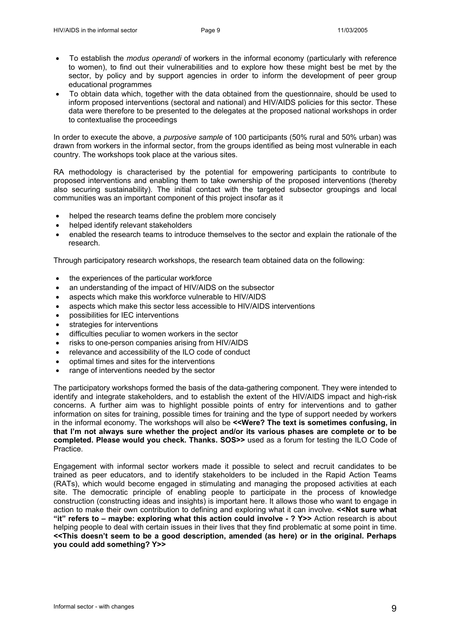- To establish the *modus operandi* of workers in the informal economy (particularly with reference to women), to find out their vulnerabilities and to explore how these might best be met by the sector, by policy and by support agencies in order to inform the development of peer group educational programmes
- To obtain data which, together with the data obtained from the questionnaire, should be used to inform proposed interventions (sectoral and national) and HIV/AIDS policies for this sector. These data were therefore to be presented to the delegates at the proposed national workshops in order to contextualise the proceedings

In order to execute the above, a *purposive sample* of 100 participants (50% rural and 50% urban) was drawn from workers in the informal sector, from the groups identified as being most vulnerable in each country. The workshops took place at the various sites.

RA methodology is characterised by the potential for empowering participants to contribute to proposed interventions and enabling them to take ownership of the proposed interventions (thereby also securing sustainability). The initial contact with the targeted subsector groupings and local communities was an important component of this project insofar as it

- helped the research teams define the problem more concisely
- helped identify relevant stakeholders
- enabled the research teams to introduce themselves to the sector and explain the rationale of the research.

Through participatory research workshops, the research team obtained data on the following:

- the experiences of the particular workforce
- an understanding of the impact of HIV/AIDS on the subsector
- aspects which make this workforce vulnerable to HIV/AIDS
- aspects which make this sector less accessible to HIV/AIDS interventions
- possibilities for IEC interventions
- strategies for interventions
- difficulties peculiar to women workers in the sector
- risks to one-person companies arising from HIV/AIDS
- relevance and accessibility of the ILO code of conduct
- optimal times and sites for the interventions
- range of interventions needed by the sector

The participatory workshops formed the basis of the data-gathering component. They were intended to identify and integrate stakeholders, and to establish the extent of the HIV/AIDS impact and high-risk concerns. A further aim was to highlight possible points of entry for interventions and to gather information on sites for training, possible times for training and the type of support needed by workers in the informal economy. The workshops will also be **<<Were? The text is sometimes confusing, in that I'm not always sure whether the project and/or its various phases are complete or to be completed. Please would you check. Thanks. SOS>>** used as a forum for testing the ILO Code of Practice.

Engagement with informal sector workers made it possible to select and recruit candidates to be trained as peer educators, and to identify stakeholders to be included in the Rapid Action Teams (RATs), which would become engaged in stimulating and managing the proposed activities at each site. The democratic principle of enabling people to participate in the process of knowledge construction (constructing ideas and insights) is important here. It allows those who want to engage in action to make their own contribution to defining and exploring what it can involve. **<<Not sure what "it" refers to – maybe: exploring what this action could involve - ? Y>>** Action research is about helping people to deal with certain issues in their lives that they find problematic at some point in time. **<<This doesn't seem to be a good description, amended (as here) or in the original. Perhaps you could add something? Y>>**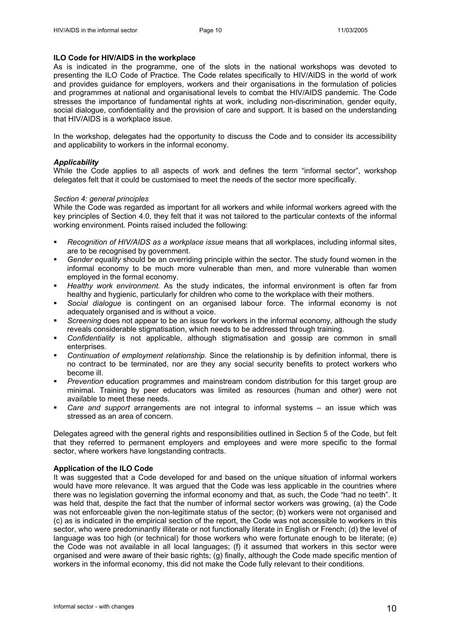## **ILO Code for HIV/AIDS in the workplace**

As is indicated in the programme, one of the slots in the national workshops was devoted to presenting the ILO Code of Practice. The Code relates specifically to HIV/AIDS in the world of work and provides guidance for employers, workers and their organisations in the formulation of policies and programmes at national and organisational levels to combat the HIV/AIDS pandemic. The Code stresses the importance of fundamental rights at work, including non-discrimination, gender equity, social dialogue, confidentiality and the provision of care and support. It is based on the understanding that HIV/AIDS is a workplace issue.

In the workshop, delegates had the opportunity to discuss the Code and to consider its accessibility and applicability to workers in the informal economy.

#### *Applicability*

While the Code applies to all aspects of work and defines the term "informal sector", workshop delegates felt that it could be customised to meet the needs of the sector more specifically.

#### *Section 4: general principles*

While the Code was regarded as important for all workers and while informal workers agreed with the key principles of Section 4.0, they felt that it was not tailored to the particular contexts of the informal working environment. Points raised included the following:

- *Recognition of HIV/AIDS as a workplace issue* means that all workplaces, including informal sites, are to be recognised by government.
- *Gender equality* should be an overriding principle within the sector. The study found women in the informal economy to be much more vulnerable than men, and more vulnerable than women employed in the formal economy.
- *Healthy work environment.* As the study indicates, the informal environment is often far from healthy and hygienic, particularly for children who come to the workplace with their mothers.
- *Social dialogue* is contingent on an organised labour force. The informal economy is not adequately organised and is without a voice.
- *Screening* does not appear to be an issue for workers in the informal economy, although the study reveals considerable stigmatisation, which needs to be addressed through training.
- *Confidentiality* is not applicable, although stigmatisation and gossip are common in small enterprises.
- *Continuation of employment relationship.* Since the relationship is by definition informal, there is no contract to be terminated, nor are they any social security benefits to protect workers who become ill.
- *Prevention* education programmes and mainstream condom distribution for this target group are minimal. Training by peer educators was limited as resources (human and other) were not available to meet these needs.
- *Care and support* arrangements are not integral to informal systems an issue which was stressed as an area of concern.

Delegates agreed with the general rights and responsibilities outlined in Section 5 of the Code, but felt that they referred to permanent employers and employees and were more specific to the formal sector, where workers have longstanding contracts.

## **Application of the ILO Code**

It was suggested that a Code developed for and based on the unique situation of informal workers would have more relevance. It was argued that the Code was less applicable in the countries where there was no legislation governing the informal economy and that, as such, the Code "had no teeth". It was held that, despite the fact that the number of informal sector workers was growing, (a) the Code was not enforceable given the non-legitimate status of the sector; (b) workers were not organised and (c) as is indicated in the empirical section of the report, the Code was not accessible to workers in this sector, who were predominantly illiterate or not functionally literate in English or French; (d) the level of language was too high (or technical) for those workers who were fortunate enough to be literate; (e) the Code was not available in all local languages; (f) it assumed that workers in this sector were organised and were aware of their basic rights; (g) finally, although the Code made specific mention of workers in the informal economy, this did not make the Code fully relevant to their conditions.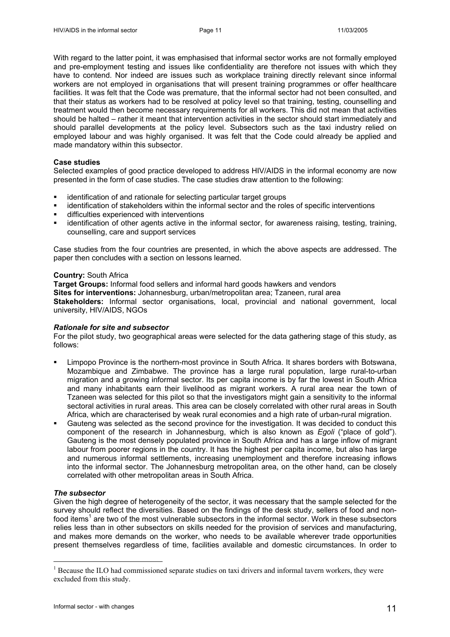With regard to the latter point, it was emphasised that informal sector works are not formally employed and pre-employment testing and issues like confidentiality are therefore not issues with which they have to contend. Nor indeed are issues such as workplace training directly relevant since informal workers are not employed in organisations that will present training programmes or offer healthcare facilities. It was felt that the Code was premature, that the informal sector had not been consulted, and that their status as workers had to be resolved at policy level so that training, testing, counselling and treatment would then become necessary requirements for all workers. This did not mean that activities should be halted – rather it meant that intervention activities in the sector should start immediately and should parallel developments at the policy level. Subsectors such as the taxi industry relied on employed labour and was highly organised. It was felt that the Code could already be applied and made mandatory within this subsector.

#### **Case studies**

Selected examples of good practice developed to address HIV/AIDS in the informal economy are now presented in the form of case studies. The case studies draw attention to the following:

- identification of and rationale for selecting particular target groups
- identification of stakeholders within the informal sector and the roles of specific interventions
- difficulties experienced with interventions
- identification of other agents active in the informal sector, for awareness raising, testing, training, counselling, care and support services

Case studies from the four countries are presented, in which the above aspects are addressed. The paper then concludes with a section on lessons learned.

#### **Country:** South Africa

**Target Groups:** Informal food sellers and informal hard goods hawkers and vendors **Sites for interventions:** Johannesburg, urban/metropolitan area; Tzaneen, rural area **Stakeholders:** Informal sector organisations, local, provincial and national government, local university, HIV/AIDS, NGOs

## *Rationale for site and subsector*

For the pilot study, two geographical areas were selected for the data gathering stage of this study, as follows:

- Limpopo Province is the northern-most province in South Africa. It shares borders with Botswana, Mozambique and Zimbabwe. The province has a large rural population, large rural-to-urban migration and a growing informal sector. Its per capita income is by far the lowest in South Africa and many inhabitants earn their livelihood as migrant workers. A rural area near the town of Tzaneen was selected for this pilot so that the investigators might gain a sensitivity to the informal sectoral activities in rural areas. This area can be closely correlated with other rural areas in South Africa, which are characterised by weak rural economies and a high rate of urban-rural migration.
- Gauteng was selected as the second province for the investigation. It was decided to conduct this component of the research in Johannesburg, which is also known as *Egoli* ("place of gold"). Gauteng is the most densely populated province in South Africa and has a large inflow of migrant labour from poorer regions in the country. It has the highest per capita income, but also has large and numerous informal settlements, increasing unemployment and therefore increasing inflows into the informal sector. The Johannesburg metropolitan area, on the other hand, can be closely correlated with other metropolitan areas in South Africa.

## *The subsector*

1

Given the high degree of heterogeneity of the sector, it was necessary that the sample selected for the survey should reflect the diversities. Based on the findings of the desk study, sellers of food and nonfood items<sup>1</sup> are two of the most vulnerable subsectors in the informal sector. Work in these subsectors relies less than in other subsectors on skills needed for the provision of services and manufacturing, and makes more demands on the worker, who needs to be available wherever trade opportunities present themselves regardless of time, facilities available and domestic circumstances. In order to

<span id="page-10-0"></span><sup>&</sup>lt;sup>1</sup> Because the ILO had commissioned separate studies on taxi drivers and informal tavern workers, they were excluded from this study.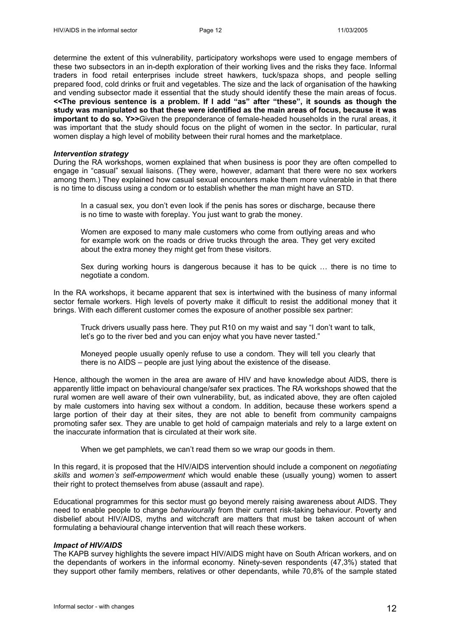determine the extent of this vulnerability, participatory workshops were used to engage members of these two subsectors in an in-depth exploration of their working lives and the risks they face. Informal traders in food retail enterprises include street hawkers, tuck/spaza shops, and people selling prepared food, cold drinks or fruit and vegetables. The size and the lack of organisation of the hawking and vending subsector made it essential that the study should identify these the main areas of focus. **<<The previous sentence is a problem. If I add "as" after "these", it sounds as though the study was manipulated so that these were identified as the main areas of focus, because it was important to do so. Y>>**Given the preponderance of female-headed households in the rural areas, it was important that the study should focus on the plight of women in the sector. In particular, rural women display a high level of mobility between their rural homes and the marketplace.

#### *Intervention strategy*

During the RA workshops, women explained that when business is poor they are often compelled to engage in "casual" sexual liaisons. (They were, however, adamant that there were no sex workers among them.) They explained how casual sexual encounters make them more vulnerable in that there is no time to discuss using a condom or to establish whether the man might have an STD.

In a casual sex, you don't even look if the penis has sores or discharge, because there is no time to waste with foreplay. You just want to grab the money.

Women are exposed to many male customers who come from outlying areas and who for example work on the roads or drive trucks through the area. They get very excited about the extra money they might get from these visitors.

Sex during working hours is dangerous because it has to be quick … there is no time to negotiate a condom.

In the RA workshops, it became apparent that sex is intertwined with the business of many informal sector female workers. High levels of poverty make it difficult to resist the additional money that it brings. With each different customer comes the exposure of another possible sex partner:

Truck drivers usually pass here. They put R10 on my waist and say "I don't want to talk, let's go to the river bed and you can enjoy what you have never tasted."

Moneyed people usually openly refuse to use a condom. They will tell you clearly that there is no AIDS – people are just lying about the existence of the disease.

Hence, although the women in the area are aware of HIV and have knowledge about AIDS, there is apparently little impact on behavioural change/safer sex practices. The RA workshops showed that the rural women are well aware of their own vulnerability, but, as indicated above, they are often cajoled by male customers into having sex without a condom. In addition, because these workers spend a large portion of their day at their sites, they are not able to benefit from community campaigns promoting safer sex. They are unable to get hold of campaign materials and rely to a large extent on the inaccurate information that is circulated at their work site.

When we get pamphlets, we can't read them so we wrap our goods in them.

In this regard, it is proposed that the HIV/AIDS intervention should include a component on *negotiating skills* and *women's self-empowerment* which would enable these (usually young) women to assert their right to protect themselves from abuse (assault and rape).

Educational programmes for this sector must go beyond merely raising awareness about AIDS. They need to enable people to change *behaviourally* from their current risk-taking behaviour. Poverty and disbelief about HIV/AIDS, myths and witchcraft are matters that must be taken account of when formulating a behavioural change intervention that will reach these workers.

## *Impact of HIV/AIDS*

The KAPB survey highlights the severe impact HIV/AIDS might have on South African workers, and on the dependants of workers in the informal economy. Ninety-seven respondents (47,3%) stated that they support other family members, relatives or other dependants, while 70,8% of the sample stated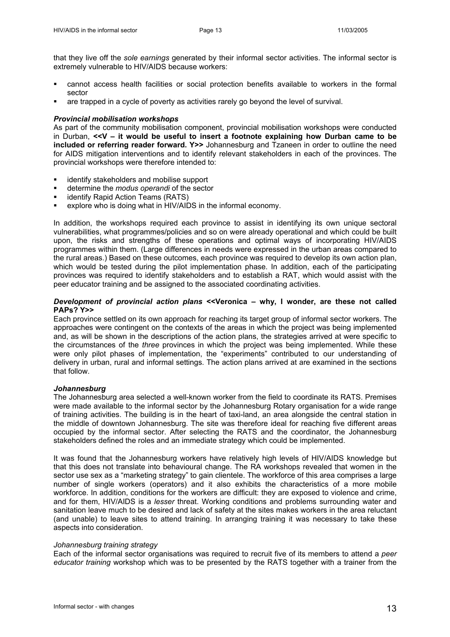that they live off the *sole earnings* generated by their informal sector activities. The informal sector is extremely vulnerable to HIV/AIDS because workers:

- cannot access health facilities or social protection benefits available to workers in the formal sector
- are trapped in a cycle of poverty as activities rarely go beyond the level of survival.

#### *Provincial mobilisation workshops*

As part of the community mobilisation component, provincial mobilisation workshops were conducted in Durban, **<<V – it would be useful to insert a footnote explaining how Durban came to be included or referring reader forward. Y>>** Johannesburg and Tzaneen in order to outline the need for AIDS mitigation interventions and to identify relevant stakeholders in each of the provinces. The provincial workshops were therefore intended to:

- identify stakeholders and mobilise support
- determine the *modus operandi* of the sector
- identify Rapid Action Teams (RATS)
- explore who is doing what in HIV/AIDS in the informal economy.

In addition, the workshops required each province to assist in identifying its own unique sectoral vulnerabilities, what programmes/policies and so on were already operational and which could be built upon, the risks and strengths of these operations and optimal ways of incorporating HIV/AIDS programmes within them. (Large differences in needs were expressed in the urban areas compared to the rural areas.) Based on these outcomes, each province was required to develop its own action plan, which would be tested during the pilot implementation phase. In addition, each of the participating provinces was required to identify stakeholders and to establish a RAT, which would assist with the peer educator training and be assigned to the associated coordinating activities.

## *Development of provincial action plans* **<<Veronica – why, I wonder, are these not called PAPs? Y>>**

Each province settled on its own approach for reaching its target group of informal sector workers. The approaches were contingent on the contexts of the areas in which the project was being implemented and, as will be shown in the descriptions of the action plans, the strategies arrived at were specific to the circumstances of the *three* provinces in which the project was being implemented. While these were only pilot phases of implementation, the "experiments" contributed to our understanding of delivery in urban, rural and informal settings. The action plans arrived at are examined in the sections that follow.

## *Johannesburg*

The Johannesburg area selected a well-known worker from the field to coordinate its RATS. Premises were made available to the informal sector by the Johannesburg Rotary organisation for a wide range of training activities. The building is in the heart of taxi-land, an area alongside the central station in the middle of downtown Johannesburg. The site was therefore ideal for reaching five different areas occupied by the informal sector. After selecting the RATS and the coordinator, the Johannesburg stakeholders defined the roles and an immediate strategy which could be implemented.

It was found that the Johannesburg workers have relatively high levels of HIV/AIDS knowledge but that this does not translate into behavioural change. The RA workshops revealed that women in the sector use sex as a "marketing strategy" to gain clientele. The workforce of this area comprises a large number of single workers (operators) and it also exhibits the characteristics of a more mobile workforce. In addition, conditions for the workers are difficult: they are exposed to violence and crime, and for them, HIV/AIDS is a *lesser* threat. Working conditions and problems surrounding water and sanitation leave much to be desired and lack of safety at the sites makes workers in the area reluctant (and unable) to leave sites to attend training. In arranging training it was necessary to take these aspects into consideration.

#### *Johannesburg training strategy*

Each of the informal sector organisations was required to recruit five of its members to attend a *peer educator training* workshop which was to be presented by the RATS together with a trainer from the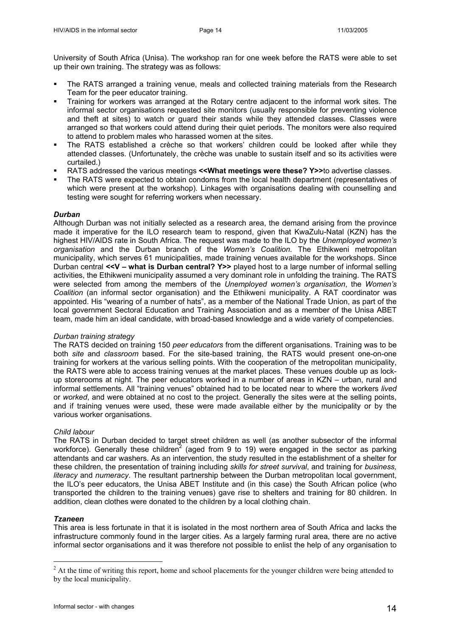University of South Africa (Unisa). The workshop ran for one week before the RATS were able to set up their own training. The strategy was as follows:

- The RATS arranged a training venue, meals and collected training materials from the Research Team for the peer educator training.
- Training for workers was arranged at the Rotary centre adjacent to the informal work sites. The informal sector organisations requested site monitors (usually responsible for preventing violence and theft at sites) to watch or guard their stands while they attended classes. Classes were arranged so that workers could attend during their quiet periods. The monitors were also required to attend to problem males who harassed women at the sites.
- The RATS established a crèche so that workers' children could be looked after while they attended classes. (Unfortunately, the crèche was unable to sustain itself and so its activities were curtailed.)
- RATS addressed the various meetings **<<What meetings were these? Y>>**to advertise classes.
- The RATS were expected to obtain condoms from the local health department (representatives of which were present at the workshop). Linkages with organisations dealing with counselling and testing were sought for referring workers when necessary.

## *Durban*

Although Durban was not initially selected as a research area, the demand arising from the province made it imperative for the ILO research team to respond, given that KwaZulu-Natal (KZN) has the highest HIV/AIDS rate in South Africa. The request was made to the ILO by the *Unemployed women's organisation* and the Durban branch of the *Women's Coalition.* The Ethikweni metropolitan municipality, which serves 61 municipalities, made training venues available for the workshops. Since Durban central **<<V – what is Durban central? Y>>** played host to a large number of informal selling activities, the Ethikweni municipality assumed a very dominant role in unfolding the training. The RATS were selected from among the members of the *Unemployed women's organisation*, the *Women's Coalition* (an informal sector organisation) and the Ethikweni municipality. A RAT coordinator was appointed. His "wearing of a number of hats", as a member of the National Trade Union, as part of the local government Sectoral Education and Training Association and as a member of the Unisa ABET team, made him an ideal candidate, with broad-based knowledge and a wide variety of competencies.

## *Durban training strategy*

The RATS decided on training 150 *peer educators* from the different organisations. Training was to be both *site* and *classroom* based. For the site-based training, the RATS would present one-on-one training for workers at the various selling points. With the cooperation of the metropolitan municipality, the RATS were able to access training venues at the market places. These venues double up as lockup storerooms at night. The peer educators worked in a number of areas in KZN – urban, rural and informal settlements. All "training venues" obtained had to be located near to where the workers *lived* or *worked*, and were obtained at no cost to the project. Generally the sites were at the selling points, and if training venues were used, these were made available either by the municipality or by the various worker organisations.

## *Child labour*

The RATS in Durban decided to target street children as well (as another subsector of the informal workforce). Generally these children<sup>[2](#page-13-0)</sup> (aged from 9 to 19) were engaged in the sector as parking attendants and car washers. As an intervention, the study resulted in the establishment of a shelter for these children, the presentation of training including *skills for street survival*, and training for *business, literacy* and *numeracy*. The resultant partnership between the Durban metropolitan local government, the ILO's peer educators, the Unisa ABET Institute and (in this case) the South African police (who transported the children to the training venues) gave rise to shelters and training for 80 children. In addition, clean clothes were donated to the children by a local clothing chain.

## *Tzaneen*

1

This area is less fortunate in that it is isolated in the most northern area of South Africa and lacks the infrastructure commonly found in the larger cities. As a largely farming rural area, there are no active informal sector organisations and it was therefore not possible to enlist the help of any organisation to

<span id="page-13-0"></span> $2<sup>2</sup>$  At the time of writing this report, home and school placements for the younger children were being attended to by the local municipality.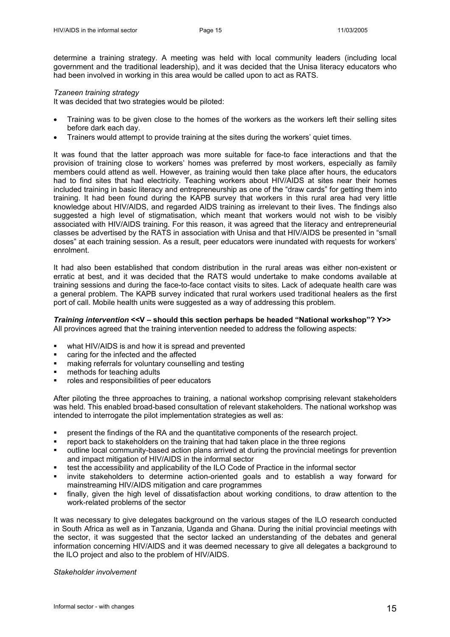determine a training strategy. A meeting was held with local community leaders (including local government and the traditional leadership), and it was decided that the Unisa literacy educators who had been involved in working in this area would be called upon to act as RATS.

## *Tzaneen training strategy*

It was decided that two strategies would be piloted:

- Training was to be given close to the homes of the workers as the workers left their selling sites before dark each day.
- Trainers would attempt to provide training at the sites during the workers' quiet times.

It was found that the latter approach was more suitable for face-to face interactions and that the provision of training close to workers' homes was preferred by most workers, especially as family members could attend as well. However, as training would then take place after hours, the educators had to find sites that had electricity. Teaching workers about HIV/AIDS at sites near their homes included training in basic literacy and entrepreneurship as one of the "draw cards" for getting them into training. It had been found during the KAPB survey that workers in this rural area had very little knowledge about HIV/AIDS, and regarded AIDS training as irrelevant to their lives. The findings also suggested a high level of stigmatisation, which meant that workers would not wish to be visibly associated with HIV/AIDS training. For this reason, it was agreed that the literacy and entrepreneurial classes be advertised by the RATS in association with Unisa and that HIV/AIDS be presented in "small doses" at each training session. As a result, peer educators were inundated with requests for workers' enrolment.

It had also been established that condom distribution in the rural areas was either non-existent or erratic at best, and it was decided that the RATS would undertake to make condoms available at training sessions and during the face-to-face contact visits to sites. Lack of adequate health care was a general problem. The KAPB survey indicated that rural workers used traditional healers as the first port of call. Mobile health units were suggested as a way of addressing this problem.

#### *Training intervention* **<<V – should this section perhaps be headed "National workshop"? Y>>**  All provinces agreed that the training intervention needed to address the following aspects:

- what HIV/AIDS is and how it is spread and prevented
- caring for the infected and the affected
- making referrals for voluntary counselling and testing
- methods for teaching adults
- roles and responsibilities of peer educators

After piloting the three approaches to training, a national workshop comprising relevant stakeholders was held. This enabled broad-based consultation of relevant stakeholders. The national workshop was intended to interrogate the pilot implementation strategies as well as:

- present the findings of the RA and the quantitative components of the research project.
- report back to stakeholders on the training that had taken place in the three regions
- outline local community-based action plans arrived at during the provincial meetings for prevention and impact mitigation of HIV/AIDS in the informal sector
- test the accessibility and applicability of the ILO Code of Practice in the informal sector
- invite stakeholders to determine action-oriented goals and to establish a way forward for mainstreaming HIV/AIDS mitigation and care programmes
- finally, given the high level of dissatisfaction about working conditions, to draw attention to the work-related problems of the sector

It was necessary to give delegates background on the various stages of the ILO research conducted in South Africa as well as in Tanzania, Uganda and Ghana. During the initial provincial meetings with the sector, it was suggested that the sector lacked an understanding of the debates and general information concerning HIV/AIDS and it was deemed necessary to give all delegates a background to the ILO project and also to the problem of HIV/AIDS.

*Stakeholder involvement*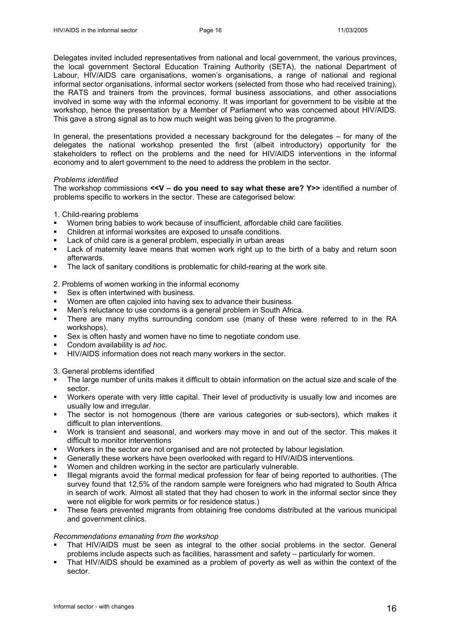Delegates invited included representatives from national and local government, the various provinces, the local government Sectoral Education Training Authority (SETA), the national Department of Labour, HIV/AIDS care organisations, women's organisations, a range of national and regional informal sector organisations, informal sector workers (selected from those who had received training), the RATS and trainers from the provinces, formal business associations, and other associations involved in some way with the informal economy. It was important for government to be visible at the workshop, hence the presentation by a Member of Parliament who was concerned about HIV/AIDS. This gave a strong signal as to how much weight was being given to the programme.

In general, the presentations provided a necessary background for the delegates – for many of the delegates the national workshop presented the first (albeit introductory) opportunity for the stakeholders to reflect on the problems and the need for HIV/AIDS interventions in the informal economy and to alert government to the need to address the problem in the sector.

#### *Problems identified*

The workshop commissions **<<V – do you need to say what these are? Y>>** identified a number of problems specific to workers in the sector. These are categorised below:

1. Child-rearing problems

- Women bring babies to work because of insufficient, affordable child care facilities.
- Children at informal worksites are exposed to unsafe conditions.
- Lack of child care is a general problem, especially in urban areas
- Lack of maternity leave means that women work right up to the birth of a baby and return soon afterwards.
- The lack of sanitary conditions is problematic for child-rearing at the work site.

2. Problems of women working in the informal economy

- Sex is often intertwined with business.
- Women are often cajoled into having sex to advance their business.
- Men's reluctance to use condoms is a general problem in South Africa.
- There are many myths surrounding condom use (many of these were referred to in the RA workshops).
- Sex is often hasty and women have no time to negotiate condom use.
- Condom availability is *ad hoc.*
- **HIV/AIDS** information does not reach many workers in the sector.

3. General problems identified

- The large number of units makes it difficult to obtain information on the actual size and scale of the sector.
- Workers operate with very little capital. Their level of productivity is usually low and incomes are usually low and irregular.
- The sector is not homogenous (there are various categories or sub-sectors), which makes it difficult to plan interventions.
- Work is transient and seasonal, and workers may move in and out of the sector. This makes it difficult to monitor interventions
- Workers in the sector are not organised and are not protected by labour legislation.
- Generally these workers have been overlooked with regard to HIV/AIDS interventions.
- Women and children working in the sector are particularly vulnerable.
- Illegal migrants avoid the formal medical profession for fear of being reported to authorities. (The survey found that 12,5% of the random sample were foreigners who had migrated to South Africa in search of work. Almost all stated that they had chosen to work in the informal sector since they were not eligible for work permits or for residence status.)
- These fears prevented migrants from obtaining free condoms distributed at the various municipal and government clinics.

#### *Recommendations emanating from the workshop*

- That HIV/AIDS must be seen as integral to the other social problems in the sector. General problems include aspects such as facilities, harassment and safety – particularly for women.
- That HIV/AIDS should be examined as a problem of poverty as well as within the context of the sector.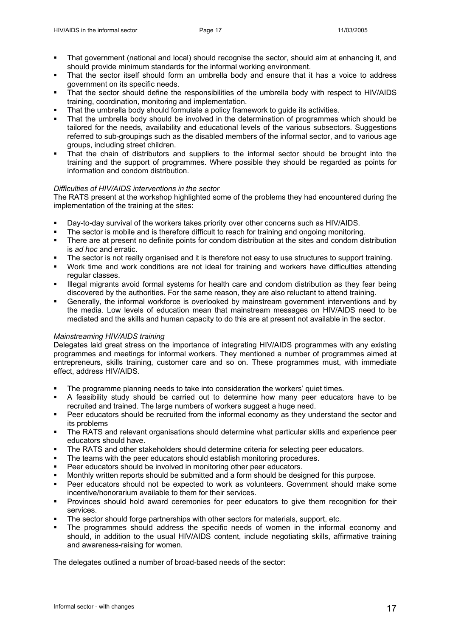- That government (national and local) should recognise the sector, should aim at enhancing it, and should provide minimum standards for the informal working environment.
- That the sector itself should form an umbrella body and ensure that it has a voice to address government on its specific needs.
- That the sector should define the responsibilities of the umbrella body with respect to HIV/AIDS training, coordination, monitoring and implementation.
- That the umbrella body should formulate a policy framework to guide its activities.
- That the umbrella body should be involved in the determination of programmes which should be tailored for the needs, availability and educational levels of the various subsectors. Suggestions referred to sub-groupings such as the disabled members of the informal sector, and to various age groups, including street children.
- That the chain of distributors and suppliers to the informal sector should be brought into the training and the support of programmes. Where possible they should be regarded as points for information and condom distribution.

# *Difficulties of HIV/AIDS interventions in the sector*

The RATS present at the workshop highlighted some of the problems they had encountered during the implementation of the training at the sites:

- Day-to-day survival of the workers takes priority over other concerns such as HIV/AIDS.
- The sector is mobile and is therefore difficult to reach for training and ongoing monitoring.
- There are at present no definite points for condom distribution at the sites and condom distribution is *ad hoc* and erratic.
- The sector is not really organised and it is therefore not easy to use structures to support training.
- Work time and work conditions are not ideal for training and workers have difficulties attending regular classes.
- Illegal migrants avoid formal systems for health care and condom distribution as they fear being discovered by the authorities. For the same reason, they are also reluctant to attend training.
- Generally, the informal workforce is overlooked by mainstream government interventions and by the media. Low levels of education mean that mainstream messages on HIV/AIDS need to be mediated and the skills and human capacity to do this are at present not available in the sector.

## *Mainstreaming HIV/AIDS training*

Delegates laid great stress on the importance of integrating HIV/AIDS programmes with any existing programmes and meetings for informal workers. They mentioned a number of programmes aimed at entrepreneurs, skills training, customer care and so on. These programmes must, with immediate effect, address HIV/AIDS.

- The programme planning needs to take into consideration the workers' quiet times.
- A feasibility study should be carried out to determine how many peer educators have to be recruited and trained. The large numbers of workers suggest a huge need.
- **Peer educators should be recruited from the informal economy as they understand the sector and** its problems
- The RATS and relevant organisations should determine what particular skills and experience peer educators should have.
- The RATS and other stakeholders should determine criteria for selecting peer educators.
- The teams with the peer educators should establish monitoring procedures.
- Peer educators should be involved in monitoring other peer educators.
- Monthly written reports should be submitted and a form should be designed for this purpose.
- Peer educators should not be expected to work as volunteers. Government should make some incentive/honorarium available to them for their services.
- Provinces should hold award ceremonies for peer educators to give them recognition for their services.
- The sector should forge partnerships with other sectors for materials, support, etc.
- The programmes should address the specific needs of women in the informal economy and should, in addition to the usual HIV/AIDS content, include negotiating skills, affirmative training and awareness-raising for women.

The delegates outlined a number of broad-based needs of the sector: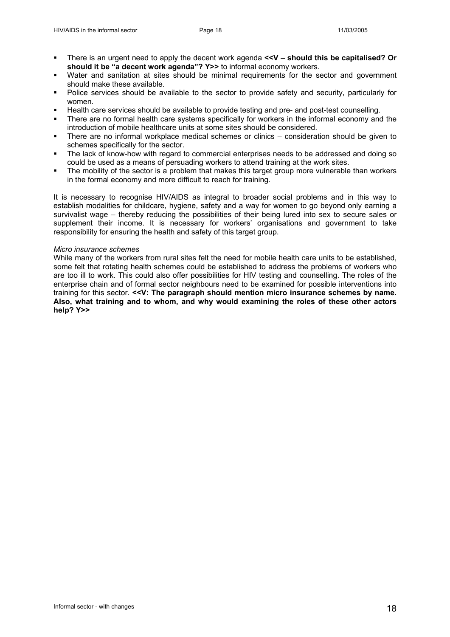- There is an urgent need to apply the decent work agenda **<<V should this be capitalised? Or should it be "a decent work agenda"? Y>>** to informal economy workers.
- Water and sanitation at sites should be minimal requirements for the sector and government should make these available.
- Police services should be available to the sector to provide safety and security, particularly for women.
- Health care services should be available to provide testing and pre- and post-test counselling.
- There are no formal health care systems specifically for workers in the informal economy and the introduction of mobile healthcare units at some sites should be considered.
- There are no informal workplace medical schemes or clinics consideration should be given to schemes specifically for the sector.
- The lack of know-how with regard to commercial enterprises needs to be addressed and doing so could be used as a means of persuading workers to attend training at the work sites.
- The mobility of the sector is a problem that makes this target group more vulnerable than workers in the formal economy and more difficult to reach for training.

It is necessary to recognise HIV/AIDS as integral to broader social problems and in this way to establish modalities for childcare, hygiene, safety and a way for women to go beyond only earning a survivalist wage – thereby reducing the possibilities of their being lured into sex to secure sales or supplement their income. It is necessary for workers' organisations and government to take responsibility for ensuring the health and safety of this target group.

## *Micro insurance schemes*

While many of the workers from rural sites felt the need for mobile health care units to be established, some felt that rotating health schemes could be established to address the problems of workers who are too ill to work. This could also offer possibilities for HIV testing and counselling. The roles of the enterprise chain and of formal sector neighbours need to be examined for possible interventions into training for this sector. **<<V: The paragraph should mention micro insurance schemes by name. Also, what training and to whom, and why would examining the roles of these other actors help? Y>>**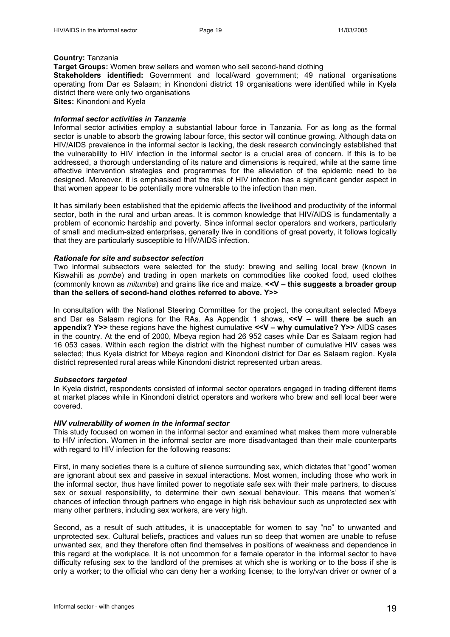#### **Country:** Tanzania

**Target Groups:** Women brew sellers and women who sell second-hand clothing **Stakeholders identified:** Government and local/ward government; 49 national organisations operating from Dar es Salaam; in Kinondoni district 19 organisations were identified while in Kyela district there were only two organisations **Sites:** Kinondoni and Kyela

## *Informal sector activities in Tanzania*

Informal sector activities employ a substantial labour force in Tanzania. For as long as the formal sector is unable to absorb the growing labour force, this sector will continue growing. Although data on HIV/AIDS prevalence in the informal sector is lacking, the desk research convincingly established that the vulnerability to HIV infection in the informal sector is a crucial area of concern. If this is to be addressed, a thorough understanding of its nature and dimensions is required, while at the same time effective intervention strategies and programmes for the alleviation of the epidemic need to be designed. Moreover, it is emphasised that the risk of HIV infection has a significant gender aspect in that women appear to be potentially more vulnerable to the infection than men.

It has similarly been established that the epidemic affects the livelihood and productivity of the informal sector, both in the rural and urban areas. It is common knowledge that HIV/AIDS is fundamentally a problem of economic hardship and poverty. Since informal sector operators and workers, particularly of small and medium-sized enterprises, generally live in conditions of great poverty, it follows logically that they are particularly susceptible to HIV/AIDS infection.

#### *Rationale for site and subsector selection*

Two informal subsectors were selected for the study: brewing and selling local brew (known in Kiswahili as *pombe*) and trading in open markets on commodities like cooked food, used clothes (commonly known as *mitumba*) and grains like rice and maize. **<<V – this suggests a broader group than the sellers of second-hand clothes referred to above. Y>>** 

In consultation with the National Steering Committee for the project, the consultant selected Mbeya and Dar es Salaam regions for the RAs. As Appendix 1 shows, **<<V – will there be such an appendix? Y>>** these regions have the highest cumulative **<<V – why cumulative? Y>>** AIDS cases in the country. At the end of 2000, Mbeya region had 26 952 cases while Dar es Salaam region had 16 053 cases. Within each region the district with the highest number of cumulative HIV cases was selected; thus Kyela district for Mbeya region and Kinondoni district for Dar es Salaam region. Kyela district represented rural areas while Kinondoni district represented urban areas.

## *Subsectors targeted*

In Kyela district, respondents consisted of informal sector operators engaged in trading different items at market places while in Kinondoni district operators and workers who brew and sell local beer were covered.

#### *HIV vulnerability of women in the informal sector*

This study focused on women in the informal sector and examined what makes them more vulnerable to HIV infection. Women in the informal sector are more disadvantaged than their male counterparts with regard to HIV infection for the following reasons:

First, in many societies there is a culture of silence surrounding sex, which dictates that "good" women are ignorant about sex and passive in sexual interactions. Most women, including those who work in the informal sector, thus have limited power to negotiate safe sex with their male partners, to discuss sex or sexual responsibility, to determine their own sexual behaviour. This means that women's' chances of infection through partners who engage in high risk behaviour such as unprotected sex with many other partners, including sex workers, are very high.

Second, as a result of such attitudes, it is unacceptable for women to say "no" to unwanted and unprotected sex. Cultural beliefs, practices and values run so deep that women are unable to refuse unwanted sex, and they therefore often find themselves in positions of weakness and dependence in this regard at the workplace. It is not uncommon for a female operator in the informal sector to have difficulty refusing sex to the landlord of the premises at which she is working or to the boss if she is only a worker; to the official who can deny her a working license; to the lorry/van driver or owner of a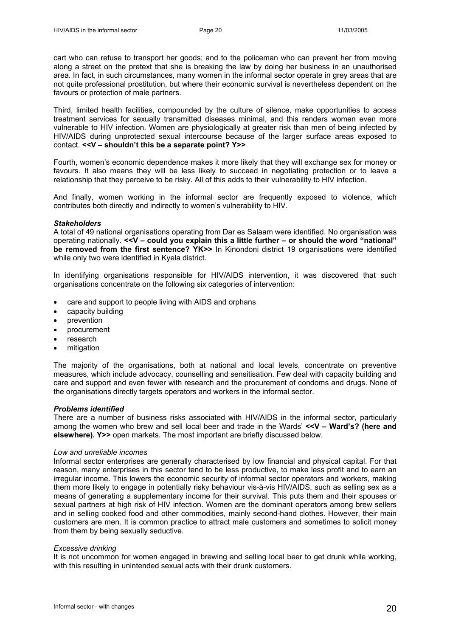cart who can refuse to transport her goods; and to the policeman who can prevent her from moving along a street on the pretext that she is breaking the law by doing her business in an unauthorised area. In fact, in such circumstances, many women in the informal sector operate in grey areas that are not quite professional prostitution, but where their economic survival is nevertheless dependent on the favours or protection of male partners.

Third, limited health facilities, compounded by the culture of silence, make opportunities to access treatment services for sexually transmitted diseases minimal, and this renders women even more vulnerable to HIV infection. Women are physiologically at greater risk than men of being infected by HIV/AIDS during unprotected sexual intercourse because of the larger surface areas exposed to contact. **<<V – shouldn't this be a separate point? Y>>** 

Fourth, women's economic dependence makes it more likely that they will exchange sex for money or favours. It also means they will be less likely to succeed in negotiating protection or to leave a relationship that they perceive to be risky. All of this adds to their vulnerability to HIV infection.

And finally, women working in the informal sector are frequently exposed to violence, which contributes both directly and indirectly to women's vulnerability to HIV.

#### *Stakeholders*

A total of 49 national organisations operating from Dar es Salaam were identified. No organisation was operating nationally. **<<V – could you explain this a little further – or should the word "national" be removed from the first sentence? YK>>** In Kinondoni district 19 organisations were identified while only two were identified in Kyela district.

In identifying organisations responsible for HIV/AIDS intervention, it was discovered that such organisations concentrate on the following six categories of intervention:

- care and support to people living with AIDS and orphans
- capacity building
- **prevention**
- procurement
- research
- mitigation

The majority of the organisations, both at national and local levels, concentrate on preventive measures, which include advocacy, counselling and sensitisation. Few deal with capacity building and care and support and even fewer with research and the procurement of condoms and drugs. None of the organisations directly targets operators and workers in the informal sector.

#### *Problems identified*

There are a number of business risks associated with HIV/AIDS in the informal sector, particularly among the women who brew and sell local beer and trade in the Wards' <<**V - Ward's? (here and elsewhere). Y>>** open markets. The most important are briefly discussed below.

#### *Low and unreliable incomes*

Informal sector enterprises are generally characterised by low financial and physical capital. For that reason, many enterprises in this sector tend to be less productive, to make less profit and to earn an irregular income. This lowers the economic security of informal sector operators and workers, making them more likely to engage in potentially risky behaviour vis-à-vis HIV/AIDS, such as selling sex as a means of generating a supplementary income for their survival. This puts them and their spouses or sexual partners at high risk of HIV infection. Women are the dominant operators among brew sellers and in selling cooked food and other commodities, mainly second-hand clothes. However, their main customers are men. It is common practice to attract male customers and sometimes to solicit money from them by being sexually seductive.

#### *Excessive drinking*

It is not uncommon for women engaged in brewing and selling local beer to get drunk while working, with this resulting in unintended sexual acts with their drunk customers.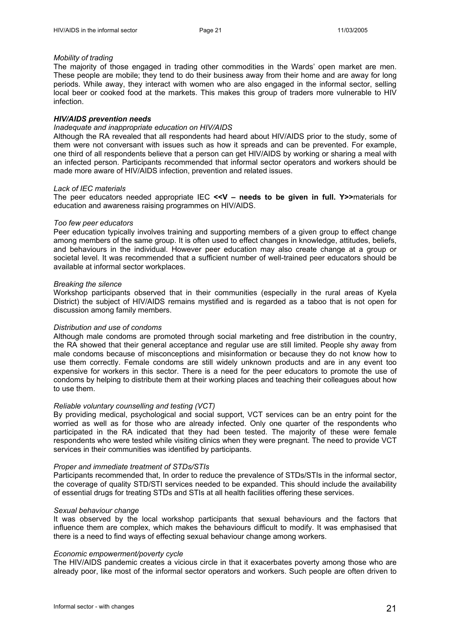#### *Mobility of trading*

The majority of those engaged in trading other commodities in the Wards' open market are men. These people are mobile; they tend to do their business away from their home and are away for long periods. While away, they interact with women who are also engaged in the informal sector, selling local beer or cooked food at the markets. This makes this group of traders more vulnerable to HIV infection.

## *HIV/AIDS prevention needs*

## *Inadequate and inappropriate education on HIV/AIDS*

Although the RA revealed that all respondents had heard about HIV/AIDS prior to the study, some of them were not conversant with issues such as how it spreads and can be prevented. For example, one third of all respondents believe that a person can get HIV/AIDS by working or sharing a meal with an infected person. Participants recommended that informal sector operators and workers should be made more aware of HIV/AIDS infection, prevention and related issues.

#### *Lack of IEC materials*

The peer educators needed appropriate IEC **<<V – needs to be given in full. Y>>**materials for education and awareness raising programmes on HIV/AIDS.

#### *Too few peer educators*

Peer education typically involves training and supporting members of a given group to effect change among members of the same group. It is often used to effect changes in knowledge, attitudes, beliefs, and behaviours in the individual. However peer education may also create change at a group or societal level. It was recommended that a sufficient number of well-trained peer educators should be available at informal sector workplaces.

#### *Breaking the silence*

Workshop participants observed that in their communities (especially in the rural areas of Kyela District) the subject of HIV/AIDS remains mystified and is regarded as a taboo that is not open for discussion among family members.

## *Distribution and use of condoms*

Although male condoms are promoted through social marketing and free distribution in the country, the RA showed that their general acceptance and regular use are still limited. People shy away from male condoms because of misconceptions and misinformation or because they do not know how to use them correctly. Female condoms are still widely unknown products and are in any event too expensive for workers in this sector. There is a need for the peer educators to promote the use of condoms by helping to distribute them at their working places and teaching their colleagues about how to use them.

#### *Reliable voluntary counselling and testing (VCT)*

By providing medical, psychological and social support, VCT services can be an entry point for the worried as well as for those who are already infected. Only one quarter of the respondents who participated in the RA indicated that they had been tested. The majority of these were female respondents who were tested while visiting clinics when they were pregnant. The need to provide VCT services in their communities was identified by participants.

#### *Proper and immediate treatment of STDs/STIs*

Participants recommended that, In order to reduce the prevalence of STDs/STIs in the informal sector, the coverage of quality STD/STI services needed to be expanded. This should include the availability of essential drugs for treating STDs and STIs at all health facilities offering these services.

## *Sexual behaviour change*

It was observed by the local workshop participants that sexual behaviours and the factors that influence them are complex, which makes the behaviours difficult to modify. It was emphasised that there is a need to find ways of effecting sexual behaviour change among workers.

#### *Economic empowerment/poverty cycle*

The HIV/AIDS pandemic creates a vicious circle in that it exacerbates poverty among those who are already poor, like most of the informal sector operators and workers. Such people are often driven to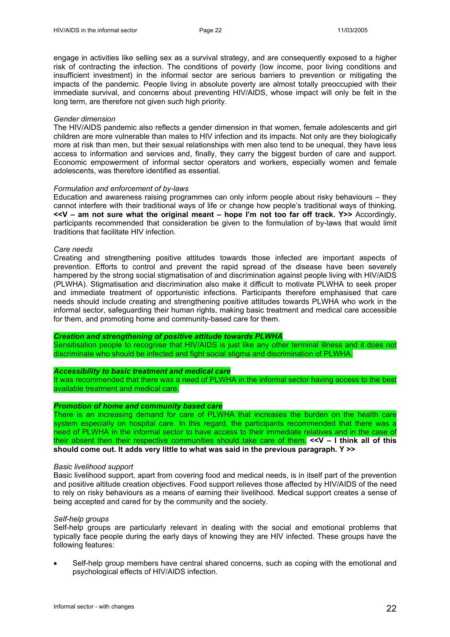engage in activities like selling sex as a survival strategy, and are consequently exposed to a higher risk of contracting the infection. The conditions of poverty (low income, poor living conditions and insufficient investment) in the informal sector are serious barriers to prevention or mitigating the impacts of the pandemic. People living in absolute poverty are almost totally preoccupied with their immediate survival, and concerns about preventing HIV/AIDS, whose impact will only be felt in the long term, are therefore not given such high priority.

#### *Gender dimension*

The HIV/AIDS pandemic also reflects a gender dimension in that women, female adolescents and girl children are more vulnerable than males to HIV infection and its impacts. Not only are they biologically more at risk than men, but their sexual relationships with men also tend to be unequal, they have less access to information and services and, finally, they carry the biggest burden of care and support. Economic empowerment of informal sector operators and workers, especially women and female adolescents, was therefore identified as essential.

#### *Formulation and enforcement of by-laws*

Education and awareness raising programmes can only inform people about risky behaviours – they cannot interfere with their traditional ways of life or change how people's traditional ways of thinking. **<<V – am not sure what the original meant – hope I'm not too far off track. Y>>** Accordingly, participants recommended that consideration be given to the formulation of by-laws that would limit traditions that facilitate HIV infection.

#### *Care needs*

Creating and strengthening positive attitudes towards those infected are important aspects of prevention. Efforts to control and prevent the rapid spread of the disease have been severely hampered by the strong social stigmatisation of and discrimination against people living with HIV/AIDS (PLWHA). Stigmatisation and discrimination also make it difficult to motivate PLWHA to seek proper and immediate treatment of opportunistic infections. Participants therefore emphasised that care needs should include creating and strengthening positive attitudes towards PLWHA who work in the informal sector, safeguarding their human rights, making basic treatment and medical care accessible for them, and promoting home and community-based care for them.

## *Creation and strengthening of positive attitude towards PLWHA*

Sensitisation people to recognise that HIV/AIDS is just like any other terminal illness and it does not discriminate who should be infected and fight social stigma and discrimination of PLWHA.

#### *Accessibility to basic treatment and medical care*

It was recommended that there was a need of PLWHA in the informal sector having access to the best available treatment and medical care.

#### *Promotion of home and community based care*

There is an increasing demand for care of PLWHA that increases the burden on the health care system especially on hospital care. In this regard, the participants recommended that there was a need of PLWHA in the informal sector to have access to their immediate relatives and in the case of their absent then their respective communities should take care of them. **<<V – I think all of this should come out. It adds very little to what was said in the previous paragraph. Y >>** 

#### *Basic livelihood support*

Basic livelihood support, apart from covering food and medical needs, is in itself part of the prevention and positive altitude creation objectives. Food support relieves those affected by HIV/AIDS of the need to rely on risky behaviours as a means of earning their livelihood. Medical support creates a sense of being accepted and cared for by the community and the society.

#### *Self-help groups*

Self-help groups are particularly relevant in dealing with the social and emotional problems that typically face people during the early days of knowing they are HIV infected. These groups have the following features:

• Self-help group members have central shared concerns, such as coping with the emotional and psychological effects of HIV/AIDS infection.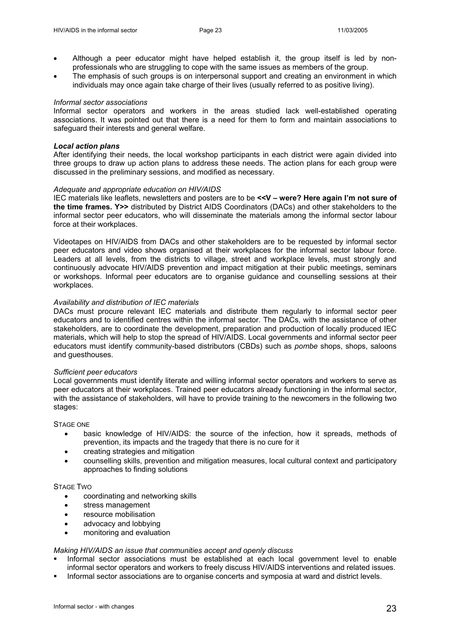- Although a peer educator might have helped establish it, the group itself is led by nonprofessionals who are struggling to cope with the same issues as members of the group.
- The emphasis of such groups is on interpersonal support and creating an environment in which individuals may once again take charge of their lives (usually referred to as positive living).

#### *Informal sector associations*

Informal sector operators and workers in the areas studied lack well-established operating associations. It was pointed out that there is a need for them to form and maintain associations to safeguard their interests and general welfare.

## *Local action plans*

After identifying their needs, the local workshop participants in each district were again divided into three groups to draw up action plans to address these needs. The action plans for each group were discussed in the preliminary sessions, and modified as necessary.

## *Adequate and appropriate education on HIV/AIDS*

IEC materials like leaflets, newsletters and posters are to be **<<V – were? Here again I'm not sure of the time frames. Y>>** distributed by District AIDS Coordinators (DACs) and other stakeholders to the informal sector peer educators, who will disseminate the materials among the informal sector labour force at their workplaces.

Videotapes on HIV/AIDS from DACs and other stakeholders are to be requested by informal sector peer educators and video shows organised at their workplaces for the informal sector labour force. Leaders at all levels, from the districts to village, street and workplace levels, must strongly and continuously advocate HIV/AIDS prevention and impact mitigation at their public meetings, seminars or workshops. Informal peer educators are to organise guidance and counselling sessions at their workplaces.

#### *Availability and distribution of IEC materials*

DACs must procure relevant IEC materials and distribute them regularly to informal sector peer educators and to identified centres within the informal sector. The DACs, with the assistance of other stakeholders, are to coordinate the development, preparation and production of locally produced IEC materials, which will help to stop the spread of HIV/AIDS. Local governments and informal sector peer educators must identify community-based distributors (CBDs) such as *pombe* shops, shops, saloons and guesthouses.

#### *Sufficient peer educators*

Local governments must identify literate and willing informal sector operators and workers to serve as peer educators at their workplaces. Trained peer educators already functioning in the informal sector, with the assistance of stakeholders, will have to provide training to the newcomers in the following two stages:

#### STAGE ONE

- basic knowledge of HIV/AIDS: the source of the infection, how it spreads, methods of prevention, its impacts and the tragedy that there is no cure for it
- creating strategies and mitigation
- counselling skills, prevention and mitigation measures, local cultural context and participatory approaches to finding solutions

#### STAGE TWO

- coordinating and networking skills
- stress management
- resource mobilisation
- advocacy and lobbying
- monitoring and evaluation

## *Making HIV/AIDS an issue that communities accept and openly discuss*

- Informal sector associations must be established at each local government level to enable informal sector operators and workers to freely discuss HIV/AIDS interventions and related issues.
- Informal sector associations are to organise concerts and symposia at ward and district levels.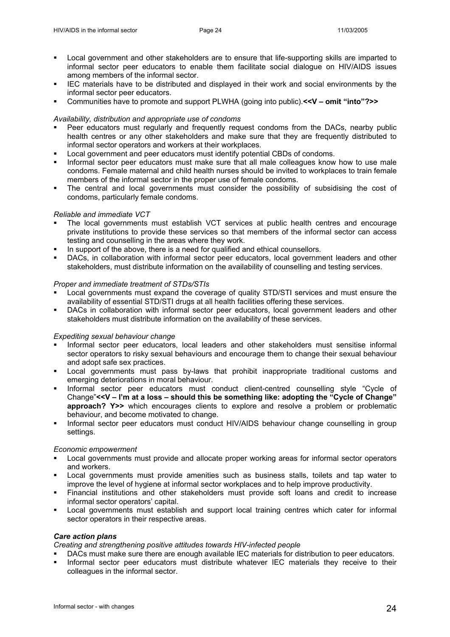- Local government and other stakeholders are to ensure that life-supporting skills are imparted to informal sector peer educators to enable them facilitate social dialogue on HIV/AIDS issues among members of the informal sector.
- IEC materials have to be distributed and displayed in their work and social environments by the informal sector peer educators.
- Communities have to promote and support PLWHA (going into public).**<<V omit "into"?>>**

# *Availability, distribution and appropriate use of condoms*

- Peer educators must regularly and frequently request condoms from the DACs, nearby public health centres or any other stakeholders and make sure that they are frequently distributed to informal sector operators and workers at their workplaces.
- Local government and peer educators must identify potential CBDs of condoms.
- Informal sector peer educators must make sure that all male colleagues know how to use male condoms. Female maternal and child health nurses should be invited to workplaces to train female members of the informal sector in the proper use of female condoms.
- The central and local governments must consider the possibility of subsidising the cost of condoms, particularly female condoms.

# *Reliable and immediate VCT*

- The local governments must establish VCT services at public health centres and encourage private institutions to provide these services so that members of the informal sector can access testing and counselling in the areas where they work.
- In support of the above, there is a need for qualified and ethical counsellors.
- DACs, in collaboration with informal sector peer educators, local government leaders and other stakeholders, must distribute information on the availability of counselling and testing services.

# *Proper and immediate treatment of STDs/STIs*

- Local governments must expand the coverage of quality STD/STI services and must ensure the availability of essential STD/STI drugs at all health facilities offering these services.
- DACs in collaboration with informal sector peer educators, local government leaders and other stakeholders must distribute information on the availability of these services.

# *Expediting sexual behaviour change*

- Informal sector peer educators, local leaders and other stakeholders must sensitise informal sector operators to risky sexual behaviours and encourage them to change their sexual behaviour and adopt safe sex practices.
- Local governments must pass by-laws that prohibit inappropriate traditional customs and emerging deteriorations in moral behaviour.
- Informal sector peer educators must conduct client-centred counselling style "Cycle of Change"**<<V – I'm at a loss – should this be something like: adopting the "Cycle of Change" approach? Y>>** which encourages clients to explore and resolve a problem or problematic behaviour, and become motivated to change.
- Informal sector peer educators must conduct HIV/AIDS behaviour change counselling in group settings.

## *Economic empowerment*

- Local governments must provide and allocate proper working areas for informal sector operators and workers.
- Local governments must provide amenities such as business stalls, toilets and tap water to improve the level of hygiene at informal sector workplaces and to help improve productivity.
- Financial institutions and other stakeholders must provide soft loans and credit to increase informal sector operators' capital.
- Local governments must establish and support local training centres which cater for informal sector operators in their respective areas.

# *Care action plans*

*Creating and strengthening positive attitudes towards HIV-infected people* 

- DACs must make sure there are enough available IEC materials for distribution to peer educators.
- Informal sector peer educators must distribute whatever IEC materials they receive to their colleagues in the informal sector.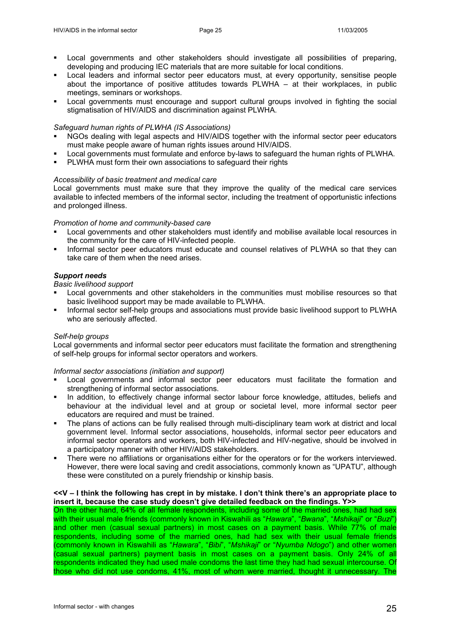- Local governments and other stakeholders should investigate all possibilities of preparing, developing and producing IEC materials that are more suitable for local conditions.
- Local leaders and informal sector peer educators must, at every opportunity, sensitise people about the importance of positive attitudes towards PLWHA – at their workplaces, in public meetings, seminars or workshops.
- Local governments must encourage and support cultural groups involved in fighting the social stigmatisation of HIV/AIDS and discrimination against PLWHA.

## *Safeguard human rights of PLWHA (IS Associations)*

- NGOs dealing with legal aspects and HIV/AIDS together with the informal sector peer educators must make people aware of human rights issues around HIV/AIDS.
- Local governments must formulate and enforce by-laws to safeguard the human rights of PLWHA.
- PLWHA must form their own associations to safeguard their rights

#### *Accessibility of basic treatment and medical care*

Local governments must make sure that they improve the quality of the medical care services available to infected members of the informal sector, including the treatment of opportunistic infections and prolonged illness.

### *Promotion of home and community-based care*

- Local governments and other stakeholders must identify and mobilise available local resources in the community for the care of HIV-infected people.
- Informal sector peer educators must educate and counsel relatives of PLWHA so that they can take care of them when the need arises.

## *Support needs*

## *Basic livelihood support*

- Local governments and other stakeholders in the communities must mobilise resources so that basic livelihood support may be made available to PLWHA.
- Informal sector self-help groups and associations must provide basic livelihood support to PLWHA who are seriously affected.

# *Self-help groups*

Local governments and informal sector peer educators must facilitate the formation and strengthening of self-help groups for informal sector operators and workers.

*Informal sector associations (initiation and support)* 

- Local governments and informal sector peer educators must facilitate the formation and strengthening of informal sector associations.
- In addition, to effectively change informal sector labour force knowledge, attitudes, beliefs and behaviour at the individual level and at group or societal level, more informal sector peer educators are required and must be trained.
- The plans of actions can be fully realised through multi-disciplinary team work at district and local government level. Informal sector associations, households, informal sector peer educators and informal sector operators and workers, both HIV-infected and HIV-negative, should be involved in a participatory manner with other HIV/AIDS stakeholders.
- There were no affiliations or organisations either for the operators or for the workers interviewed. However, there were local saving and credit associations, commonly known as "UPATU", although these were constituted on a purely friendship or kinship basis.

## **<<V – I think the following has crept in by mistake. I don't think there's an appropriate place to insert it, because the case study doesn't give detailed feedback on the findings. Y>>**

On the other hand, 64% of all female respondents, including some of the married ones, had had sex with their usual male friends (commonly known in Kiswahili as "*Hawara*", "*Bwana*", "*Mshikaji*" or "*Buzi*") and other men (casual sexual partners) in most cases on a payment basis. While 77% of male respondents, including some of the married ones, had had sex with their usual female friends (commonly known in Kiswahili as "*Hawara*", "*Bibi*", "*Mshikaji*" or "*Nyumba Ndogo*") and other women (casual sexual partners) payment basis in most cases on a payment basis. Only 24% of all respondents indicated they had used male condoms the last time they had had sexual intercourse. Of those who did not use condoms, 41%, most of whom were married, thought it unnecessary. The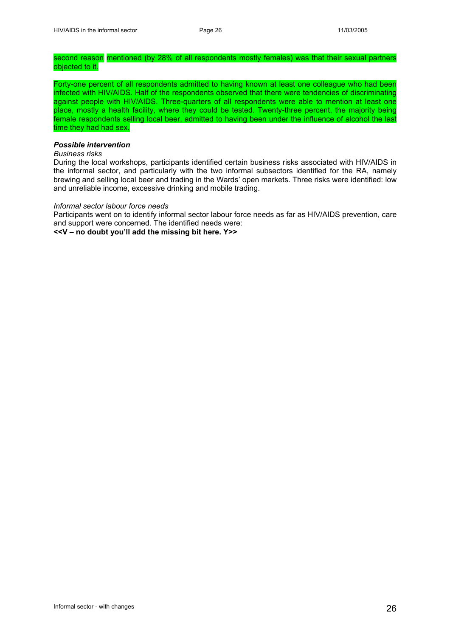## second reason mentioned (by 28% of all respondents mostly females) was that their sexual partners objected to it.

Forty-one percent of all respondents admitted to having known at least one colleague who had been infected with HIV/AIDS. Half of the respondents observed that there were tendencies of discriminating against people with HIV/AIDS. Three-quarters of all respondents were able to mention at least one place, mostly a health facility, where they could be tested. Twenty-three percent, the majority being female respondents selling local beer, admitted to having been under the influence of alcohol the last time they had had sex.

# *Possible intervention*

# *Business risks*

During the local workshops, participants identified certain business risks associated with HIV/AIDS in the informal sector, and particularly with the two informal subsectors identified for the RA, namely brewing and selling local beer and trading in the Wards' open markets. Three risks were identified: low and unreliable income, excessive drinking and mobile trading.

#### *Informal sector labour force needs*

Participants went on to identify informal sector labour force needs as far as HIV/AIDS prevention, care and support were concerned. The identified needs were:

**<<V – no doubt you'll add the missing bit here. Y>>**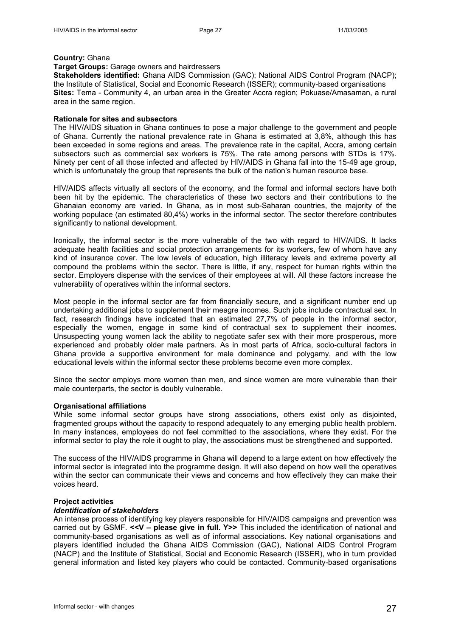#### **Country:** Ghana

# **Target Groups:** Garage owners and hairdressers

**Stakeholders identified:** Ghana AIDS Commission (GAC); National AIDS Control Program (NACP); the Institute of Statistical, Social and Economic Research (ISSER); community-based organisations **Sites:** Tema - Community 4, an urban area in the Greater Accra region; Pokuase/Amasaman, a rural area in the same region.

## **Rationale for sites and subsectors**

The HIV/AIDS situation in Ghana continues to pose a major challenge to the government and people of Ghana. Currently the national prevalence rate in Ghana is estimated at 3,8%, although this has been exceeded in some regions and areas. The prevalence rate in the capital, Accra, among certain subsectors such as commercial sex workers is 75%. The rate among persons with STDs is 17%. Ninety per cent of all those infected and affected by HIV/AIDS in Ghana fall into the 15-49 age group, which is unfortunately the group that represents the bulk of the nation's human resource base.

HIV/AIDS affects virtually all sectors of the economy, and the formal and informal sectors have both been hit by the epidemic. The characteristics of these two sectors and their contributions to the Ghanaian economy are varied. In Ghana, as in most sub-Saharan countries, the majority of the working populace (an estimated 80,4%) works in the informal sector. The sector therefore contributes significantly to national development.

Ironically, the informal sector is the more vulnerable of the two with regard to HIV/AIDS. It lacks adequate health facilities and social protection arrangements for its workers, few of whom have any kind of insurance cover. The low levels of education, high illiteracy levels and extreme poverty all compound the problems within the sector. There is little, if any, respect for human rights within the sector. Employers dispense with the services of their employees at will. All these factors increase the vulnerability of operatives within the informal sectors.

Most people in the informal sector are far from financially secure, and a significant number end up undertaking additional jobs to supplement their meagre incomes. Such jobs include contractual sex. In fact, research findings have indicated that an estimated 27,7% of people in the informal sector, especially the women, engage in some kind of contractual sex to supplement their incomes. Unsuspecting young women lack the ability to negotiate safer sex with their more prosperous, more experienced and probably older male partners. As in most parts of Africa, socio-cultural factors in Ghana provide a supportive environment for male dominance and polygamy, and with the low educational levels within the informal sector these problems become even more complex.

Since the sector employs more women than men, and since women are more vulnerable than their male counterparts, the sector is doubly vulnerable.

## **Organisational affiliations**

While some informal sector groups have strong associations, others exist only as disjointed, fragmented groups without the capacity to respond adequately to any emerging public health problem. In many instances, employees do not feel committed to the associations, where they exist. For the informal sector to play the role it ought to play, the associations must be strengthened and supported.

The success of the HIV/AIDS programme in Ghana will depend to a large extent on how effectively the informal sector is integrated into the programme design. It will also depend on how well the operatives within the sector can communicate their views and concerns and how effectively they can make their voices heard.

## **Project activities**

## *Identification of stakeholders*

An intense process of identifying key players responsible for HIV/AIDS campaigns and prevention was carried out by GSMF. <<V - please give in full. Y>> This included the identification of national and community-based organisations as well as of informal associations. Key national organisations and players identified included the Ghana AIDS Commission (GAC), National AIDS Control Program (NACP) and the Institute of Statistical, Social and Economic Research (ISSER), who in turn provided general information and listed key players who could be contacted. Community-based organisations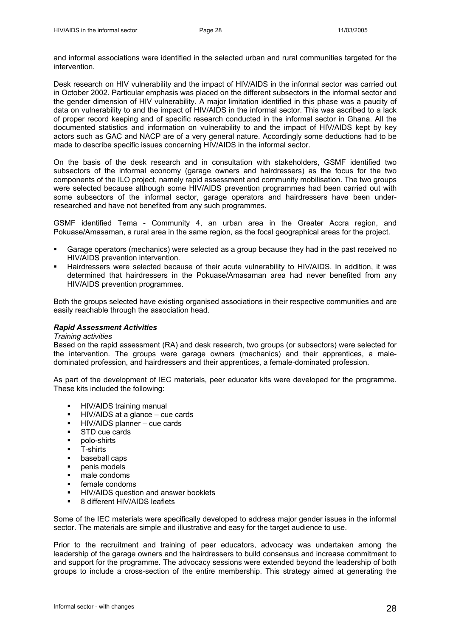and informal associations were identified in the selected urban and rural communities targeted for the intervention.

Desk research on HIV vulnerability and the impact of HIV/AIDS in the informal sector was carried out in October 2002. Particular emphasis was placed on the different subsectors in the informal sector and the gender dimension of HIV vulnerability. A major limitation identified in this phase was a paucity of data on vulnerability to and the impact of HIV/AIDS in the informal sector. This was ascribed to a lack of proper record keeping and of specific research conducted in the informal sector in Ghana. All the documented statistics and information on vulnerability to and the impact of HIV/AIDS kept by key actors such as GAC and NACP are of a very general nature. Accordingly some deductions had to be made to describe specific issues concerning HIV/AIDS in the informal sector.

On the basis of the desk research and in consultation with stakeholders, GSMF identified two subsectors of the informal economy (garage owners and hairdressers) as the focus for the two components of the ILO project, namely rapid assessment and community mobilisation. The two groups were selected because although some HIV/AIDS prevention programmes had been carried out with some subsectors of the informal sector, garage operators and hairdressers have been underresearched and have not benefited from any such programmes.

GSMF identified Tema - Community 4, an urban area in the Greater Accra region, and Pokuase/Amasaman, a rural area in the same region, as the focal geographical areas for the project.

- Garage operators (mechanics) were selected as a group because they had in the past received no HIV/AIDS prevention intervention.
- Hairdressers were selected because of their acute vulnerability to HIV/AIDS. In addition, it was determined that hairdressers in the Pokuase/Amasaman area had never benefited from any HIV/AIDS prevention programmes.

Both the groups selected have existing organised associations in their respective communities and are easily reachable through the association head.

## *Rapid Assessment Activities*

#### *Training activities*

Based on the rapid assessment (RA) and desk research, two groups (or subsectors) were selected for the intervention. The groups were garage owners (mechanics) and their apprentices, a maledominated profession, and hairdressers and their apprentices, a female-dominated profession.

As part of the development of IEC materials, peer educator kits were developed for the programme. These kits included the following:

- **-** HIV/AIDS training manual
- HIV/AIDS at a glance cue cards
- HIV/AIDS planner cue cards
- **STD** cue cards
- **polo-shirts**
- **T**-shirts
- **baseball caps**
- **•** penis models
- $\blacksquare$  male condoms
- **female condoms**
- **HIV/AIDS** question and answer booklets
- 8 different HIV/AIDS leaflets

Some of the IEC materials were specifically developed to address major gender issues in the informal sector. The materials are simple and illustrative and easy for the target audience to use.

Prior to the recruitment and training of peer educators, advocacy was undertaken among the leadership of the garage owners and the hairdressers to build consensus and increase commitment to and support for the programme. The advocacy sessions were extended beyond the leadership of both groups to include a cross-section of the entire membership. This strategy aimed at generating the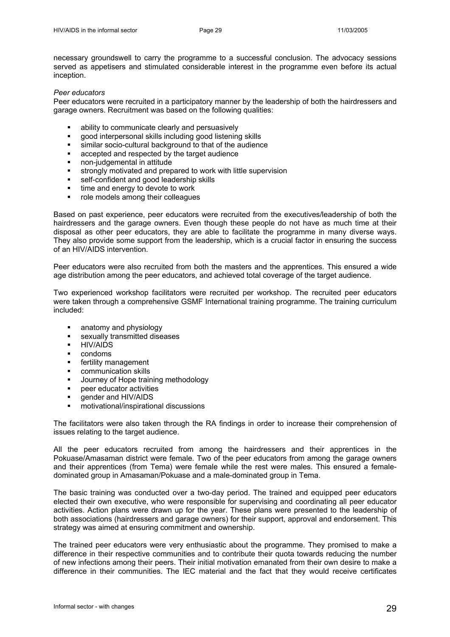necessary groundswell to carry the programme to a successful conclusion. The advocacy sessions served as appetisers and stimulated considerable interest in the programme even before its actual inception.

## *Peer educators*

Peer educators were recruited in a participatory manner by the leadership of both the hairdressers and garage owners. Recruitment was based on the following qualities:

- ability to communicate clearly and persuasively
- good interpersonal skills including good listening skills
- similar socio-cultural background to that of the audience
- accepted and respected by the target audience
- non-judgemental in attitude
- **strongly motivated and prepared to work with little supervision**
- self-confident and good leadership skills
- **time and energy to devote to work**
- role models among their colleagues

Based on past experience, peer educators were recruited from the executives/leadership of both the hairdressers and the garage owners. Even though these people do not have as much time at their disposal as other peer educators, they are able to facilitate the programme in many diverse ways. They also provide some support from the leadership, which is a crucial factor in ensuring the success of an HIV/AIDS intervention.

Peer educators were also recruited from both the masters and the apprentices. This ensured a wide age distribution among the peer educators, and achieved total coverage of the target audience.

Two experienced workshop facilitators were recruited per workshop. The recruited peer educators were taken through a comprehensive GSMF International training programme. The training curriculum included:

- anatomy and physiology
- **sexually transmitted diseases**
- **HIV/AIDS**
- **•** condoms
- **fertility management**
- communication skills
- **Journey of Hope training methodology**
- **•** peer educator activities
- gender and HIV/AIDS
- motivational/inspirational discussions

The facilitators were also taken through the RA findings in order to increase their comprehension of issues relating to the target audience.

All the peer educators recruited from among the hairdressers and their apprentices in the Pokuase/Amasaman district were female. Two of the peer educators from among the garage owners and their apprentices (from Tema) were female while the rest were males. This ensured a femaledominated group in Amasaman/Pokuase and a male-dominated group in Tema.

The basic training was conducted over a two-day period. The trained and equipped peer educators elected their own executive, who were responsible for supervising and coordinating all peer educator activities. Action plans were drawn up for the year. These plans were presented to the leadership of both associations (hairdressers and garage owners) for their support, approval and endorsement. This strategy was aimed at ensuring commitment and ownership.

The trained peer educators were very enthusiastic about the programme. They promised to make a difference in their respective communities and to contribute their quota towards reducing the number of new infections among their peers. Their initial motivation emanated from their own desire to make a difference in their communities. The IEC material and the fact that they would receive certificates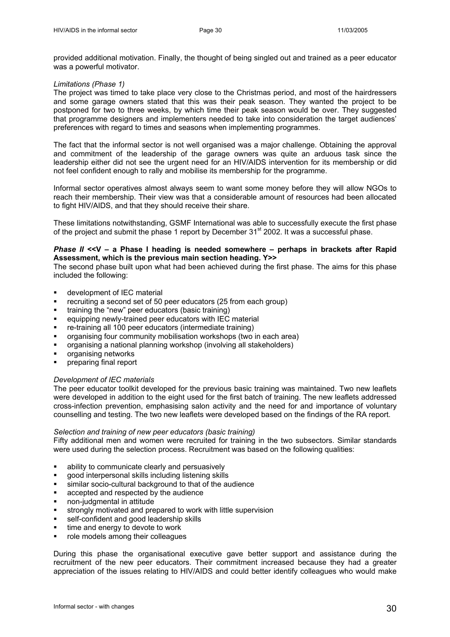provided additional motivation. Finally, the thought of being singled out and trained as a peer educator was a powerful motivator.

#### *Limitations (Phase 1)*

The project was timed to take place very close to the Christmas period, and most of the hairdressers and some garage owners stated that this was their peak season. They wanted the project to be postponed for two to three weeks, by which time their peak season would be over. They suggested that programme designers and implementers needed to take into consideration the target audiences' preferences with regard to times and seasons when implementing programmes.

The fact that the informal sector is not well organised was a major challenge. Obtaining the approval and commitment of the leadership of the garage owners was quite an arduous task since the leadership either did not see the urgent need for an HIV/AIDS intervention for its membership or did not feel confident enough to rally and mobilise its membership for the programme.

Informal sector operatives almost always seem to want some money before they will allow NGOs to reach their membership. Their view was that a considerable amount of resources had been allocated to fight HIV/AIDS, and that they should receive their share.

These limitations notwithstanding, GSMF International was able to successfully execute the first phase of the project and submit the phase 1 report by December 31<sup>st</sup> 2002. It was a successful phase.

# *Phase II* **<<V – a Phase I heading is needed somewhere – perhaps in brackets after Rapid Assessment, which is the previous main section heading. Y>>**

The second phase built upon what had been achieved during the first phase. The aims for this phase included the following:

- **u** development of IEC material
- recruiting a second set of 50 peer educators (25 from each group)
- training the "new" peer educators (basic training)
- equipping newly-trained peer educators with IEC material
- re-training all 100 peer educators (intermediate training)
- organising four community mobilisation workshops (two in each area)
- organising a national planning workshop (involving all stakeholders)
- organising networks
- **•** preparing final report

## *Development of IEC materials*

The peer educator toolkit developed for the previous basic training was maintained. Two new leaflets were developed in addition to the eight used for the first batch of training. The new leaflets addressed cross-infection prevention, emphasising salon activity and the need for and importance of voluntary counselling and testing. The two new leaflets were developed based on the findings of the RA report.

#### *Selection and training of new peer educators (basic training)*

Fifty additional men and women were recruited for training in the two subsectors. Similar standards were used during the selection process. Recruitment was based on the following qualities:

- ability to communicate clearly and persuasively
- good interpersonal skills including listening skills
- similar socio-cultural background to that of the audience
- accepted and respected by the audience
- non-judgmental in attitude
- strongly motivated and prepared to work with little supervision
- self-confident and good leadership skills
- $\blacksquare$  time and energy to devote to work
- $\blacksquare$  role models among their colleagues

During this phase the organisational executive gave better support and assistance during the recruitment of the new peer educators. Their commitment increased because they had a greater appreciation of the issues relating to HIV/AIDS and could better identify colleagues who would make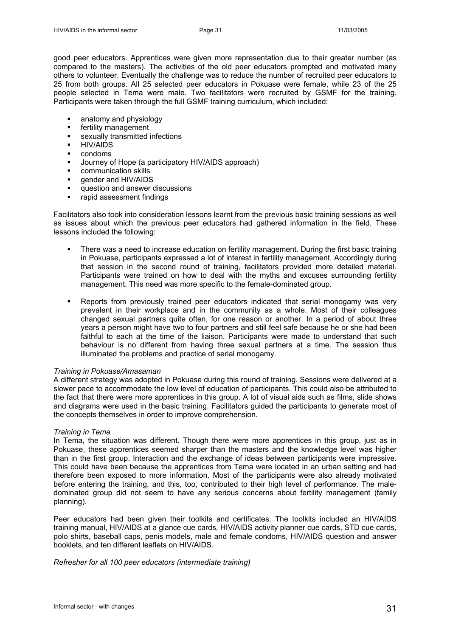good peer educators. Apprentices were given more representation due to their greater number (as compared to the masters). The activities of the old peer educators prompted and motivated many others to volunteer. Eventually the challenge was to reduce the number of recruited peer educators to 25 from both groups. All 25 selected peer educators in Pokuase were female, while 23 of the 25 people selected in Tema were male. Two facilitators were recruited by GSMF for the training. Participants were taken through the full GSMF training curriculum, which included:

- **EXECUTE:** anatomy and physiology
- **fertility management**
- **sexually transmitted infections**
- **-** HIV/AIDS
- **•** condoms
- Journey of Hope (a participatory HIV/AIDS approach)
- **EXECOMMUNICATION SKILLS**
- **e** gender and HIV/AIDS
- **question and answer discussions**
- rapid assessment findings

Facilitators also took into consideration lessons learnt from the previous basic training sessions as well as issues about which the previous peer educators had gathered information in the field. These lessons included the following:

- There was a need to increase education on fertility management. During the first basic training in Pokuase, participants expressed a lot of interest in fertility management. Accordingly during that session in the second round of training, facilitators provided more detailed material. Participants were trained on how to deal with the myths and excuses surrounding fertility management. This need was more specific to the female-dominated group.
- Reports from previously trained peer educators indicated that serial monogamy was very prevalent in their workplace and in the community as a whole. Most of their colleagues changed sexual partners quite often, for one reason or another. In a period of about three years a person might have two to four partners and still feel safe because he or she had been faithful to each at the time of the liaison. Participants were made to understand that such behaviour is no different from having three sexual partners at a time. The session thus illuminated the problems and practice of serial monogamy.

## *Training in Pokuase/Amasaman*

A different strategy was adopted in Pokuase during this round of training. Sessions were delivered at a slower pace to accommodate the low level of education of participants. This could also be attributed to the fact that there were more apprentices in this group. A lot of visual aids such as films, slide shows and diagrams were used in the basic training. Facilitators guided the participants to generate most of the concepts themselves in order to improve comprehension.

## *Training in Tema*

In Tema, the situation was different. Though there were more apprentices in this group, just as in Pokuase, these apprentices seemed sharper than the masters and the knowledge level was higher than in the first group. Interaction and the exchange of ideas between participants were impressive. This could have been because the apprentices from Tema were located in an urban setting and had therefore been exposed to more information. Most of the participants were also already motivated before entering the training, and this, too, contributed to their high level of performance. The maledominated group did not seem to have any serious concerns about fertility management (family planning).

Peer educators had been given their toolkits and certificates. The toolkits included an HIV/AIDS training manual, HIV/AIDS at a glance cue cards, HIV/AIDS activity planner cue cards, STD cue cards, polo shirts, baseball caps, penis models, male and female condoms, HIV/AIDS question and answer booklets, and ten different leaflets on HIV/AIDS.

*Refresher for all 100 peer educators (intermediate training)*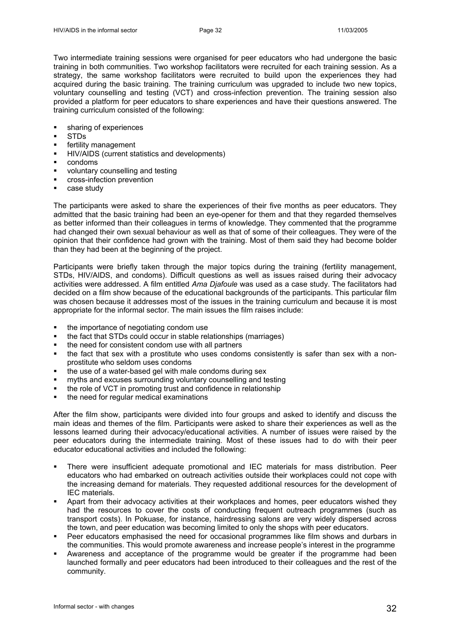Two intermediate training sessions were organised for peer educators who had undergone the basic training in both communities. Two workshop facilitators were recruited for each training session. As a strategy, the same workshop facilitators were recruited to build upon the experiences they had acquired during the basic training. The training curriculum was upgraded to include two new topics, voluntary counselling and testing (VCT) and cross-infection prevention. The training session also provided a platform for peer educators to share experiences and have their questions answered. The training curriculum consisted of the following:

- sharing of experiences
- **STDs**
- fertility management
- HIV/AIDS (current statistics and developments)
- condoms
- voluntary counselling and testing
- **•** cross-infection prevention
- **case study**

The participants were asked to share the experiences of their five months as peer educators. They admitted that the basic training had been an eye-opener for them and that they regarded themselves as better informed than their colleagues in terms of knowledge. They commented that the programme had changed their own sexual behaviour as well as that of some of their colleagues. They were of the opinion that their confidence had grown with the training. Most of them said they had become bolder than they had been at the beginning of the project.

Participants were briefly taken through the major topics during the training (fertility management, STDs, HIV/AIDS, and condoms). Difficult questions as well as issues raised during their advocacy activities were addressed. A film entitled *Ama Djafoule* was used as a case study. The facilitators had decided on a film show because of the educational backgrounds of the participants. This particular film was chosen because it addresses most of the issues in the training curriculum and because it is most appropriate for the informal sector. The main issues the film raises include:

- the importance of negotiating condom use
- the fact that STDs could occur in stable relationships (marriages)
- the need for consistent condom use with all partners
- the fact that sex with a prostitute who uses condoms consistently is safer than sex with a nonprostitute who seldom uses condoms
- the use of a water-based gel with male condoms during sex
- myths and excuses surrounding voluntary counselling and testing
- the role of VCT in promoting trust and confidence in relationship
- the need for regular medical examinations

After the film show, participants were divided into four groups and asked to identify and discuss the main ideas and themes of the film. Participants were asked to share their experiences as well as the lessons learned during their advocacy/educational activities. A number of issues were raised by the peer educators during the intermediate training. Most of these issues had to do with their peer educator educational activities and included the following:

- There were insufficient adequate promotional and IEC materials for mass distribution. Peer educators who had embarked on outreach activities outside their workplaces could not cope with the increasing demand for materials. They requested additional resources for the development of IEC materials.
- Apart from their advocacy activities at their workplaces and homes, peer educators wished they had the resources to cover the costs of conducting frequent outreach programmes (such as transport costs). In Pokuase, for instance, hairdressing salons are very widely dispersed across the town, and peer education was becoming limited to only the shops with peer educators.
- Peer educators emphasised the need for occasional programmes like film shows and durbars in the communities. This would promote awareness and increase people's interest in the programme
- Awareness and acceptance of the programme would be greater if the programme had been launched formally and peer educators had been introduced to their colleagues and the rest of the community.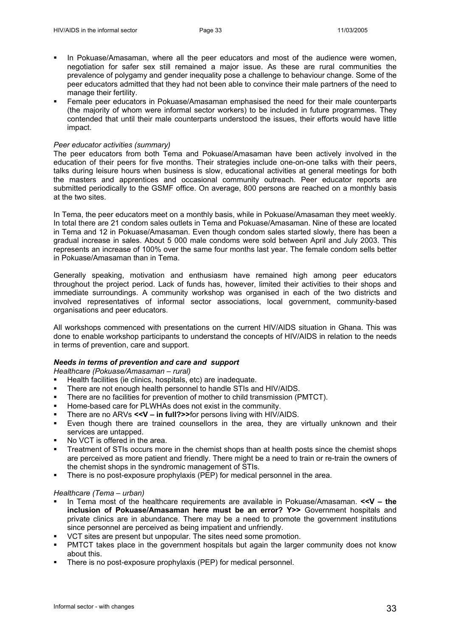- In Pokuase/Amasaman, where all the peer educators and most of the audience were women, negotiation for safer sex still remained a major issue. As these are rural communities the prevalence of polygamy and gender inequality pose a challenge to behaviour change. Some of the peer educators admitted that they had not been able to convince their male partners of the need to manage their fertility.
- Female peer educators in Pokuase/Amasaman emphasised the need for their male counterparts (the majority of whom were informal sector workers) to be included in future programmes. They contended that until their male counterparts understood the issues, their efforts would have little impact.

## *Peer educator activities (summary)*

The peer educators from both Tema and Pokuase/Amasaman have been actively involved in the education of their peers for five months. Their strategies include one-on-one talks with their peers, talks during leisure hours when business is slow, educational activities at general meetings for both the masters and apprentices and occasional community outreach. Peer educator reports are submitted periodically to the GSMF office. On average, 800 persons are reached on a monthly basis at the two sites.

In Tema, the peer educators meet on a monthly basis, while in Pokuase/Amasaman they meet weekly. In total there are 21 condom sales outlets in Tema and Pokuase/Amasaman. Nine of these are located in Tema and 12 in Pokuase/Amasaman. Even though condom sales started slowly, there has been a gradual increase in sales. About 5 000 male condoms were sold between April and July 2003. This represents an increase of 100% over the same four months last year. The female condom sells better in Pokuase/Amasaman than in Tema.

Generally speaking, motivation and enthusiasm have remained high among peer educators throughout the project period. Lack of funds has, however, limited their activities to their shops and immediate surroundings. A community workshop was organised in each of the two districts and involved representatives of informal sector associations, local government, community-based organisations and peer educators.

All workshops commenced with presentations on the current HIV/AIDS situation in Ghana. This was done to enable workshop participants to understand the concepts of HIV/AIDS in relation to the needs in terms of prevention, care and support.

## *Needs in terms of prevention and care and support*

*Healthcare (Pokuase/Amasaman – rural)*

- Health facilities (ie clinics, hospitals, etc) are inadequate.
- There are not enough health personnel to handle STIs and HIV/AIDS.
- There are no facilities for prevention of mother to child transmission (PMTCT).
- Home-based care for PLWHAs does not exist in the community.
- There are no ARVs **<<V in full?>>**for persons living with HIV/AIDS.
- Even though there are trained counsellors in the area, they are virtually unknown and their services are untapped.
- No VCT is offered in the area.
- Treatment of STIs occurs more in the chemist shops than at health posts since the chemist shops are perceived as more patient and friendly. There might be a need to train or re-train the owners of the chemist shops in the syndromic management of STIs.
- There is no post-exposure prophylaxis (PEP) for medical personnel in the area.

#### *Healthcare (Tema – urban)*

- In Tema most of the healthcare requirements are available in Pokuase/Amasaman. **<<V the inclusion of Pokuase/Amasaman here must be an error? Y>>** Government hospitals and private clinics are in abundance. There may be a need to promote the government institutions since personnel are perceived as being impatient and unfriendly.
- VCT sites are present but unpopular. The sites need some promotion.
- PMTCT takes place in the government hospitals but again the larger community does not know about this.
- **There is no post-exposure prophylaxis (PEP) for medical personnel.**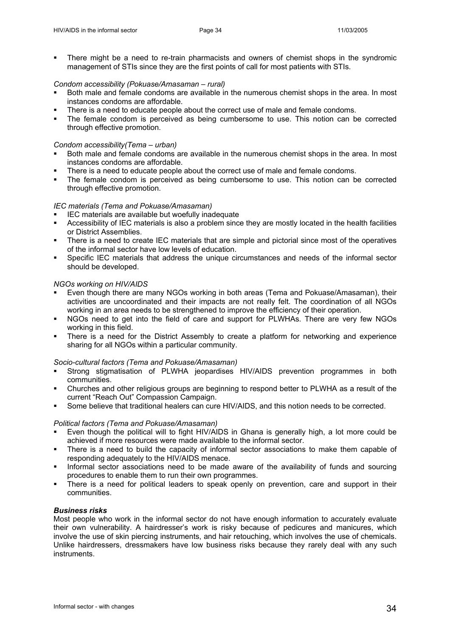There might be a need to re-train pharmacists and owners of chemist shops in the syndromic management of STIs since they are the first points of call for most patients with STIs.

## *Condom accessibility (Pokuase/Amasaman – rural)*

- Both male and female condoms are available in the numerous chemist shops in the area. In most instances condoms are affordable.
- There is a need to educate people about the correct use of male and female condoms.
- The female condom is perceived as being cumbersome to use. This notion can be corrected through effective promotion.

## *Condom accessibility(Tema – urban)*

- Both male and female condoms are available in the numerous chemist shops in the area. In most instances condoms are affordable.
- There is a need to educate people about the correct use of male and female condoms.
- The female condom is perceived as being cumbersome to use. This notion can be corrected through effective promotion.

# *IEC materials (Tema and Pokuase/Amasaman)*

- IEC materials are available but woefully inadequate
- Accessibility of IEC materials is also a problem since they are mostly located in the health facilities or District Assemblies.
- There is a need to create IEC materials that are simple and pictorial since most of the operatives of the informal sector have low levels of education.
- Specific IEC materials that address the unique circumstances and needs of the informal sector should be developed.

# *NGOs working on HIV/AIDS*

- Even though there are many NGOs working in both areas (Tema and Pokuase/Amasaman), their activities are uncoordinated and their impacts are not really felt. The coordination of all NGOs working in an area needs to be strengthened to improve the efficiency of their operation.
- NGOs need to get into the field of care and support for PLWHAs. There are very few NGOs working in this field.
- There is a need for the District Assembly to create a platform for networking and experience sharing for all NGOs within a particular community.

## *Socio-cultural factors (Tema and Pokuase/Amasaman)*

- Strong stigmatisation of PLWHA jeopardises HIV/AIDS prevention programmes in both communities.
- Churches and other religious groups are beginning to respond better to PLWHA as a result of the current "Reach Out" Compassion Campaign.
- Some believe that traditional healers can cure HIV/AIDS, and this notion needs to be corrected.

## *Political factors (Tema and Pokuase/Amasaman)*

- Even though the political will to fight HIV/AIDS in Ghana is generally high, a lot more could be achieved if more resources were made available to the informal sector.
- There is a need to build the capacity of informal sector associations to make them capable of responding adequately to the HIV/AIDS menace.
- Informal sector associations need to be made aware of the availability of funds and sourcing procedures to enable them to run their own programmes.
- There is a need for political leaders to speak openly on prevention, care and support in their communities.

# *Business risks*

Most people who work in the informal sector do not have enough information to accurately evaluate their own vulnerability. A hairdresser's work is risky because of pedicures and manicures, which involve the use of skin piercing instruments, and hair retouching, which involves the use of chemicals. Unlike hairdressers, dressmakers have low business risks because they rarely deal with any such instruments.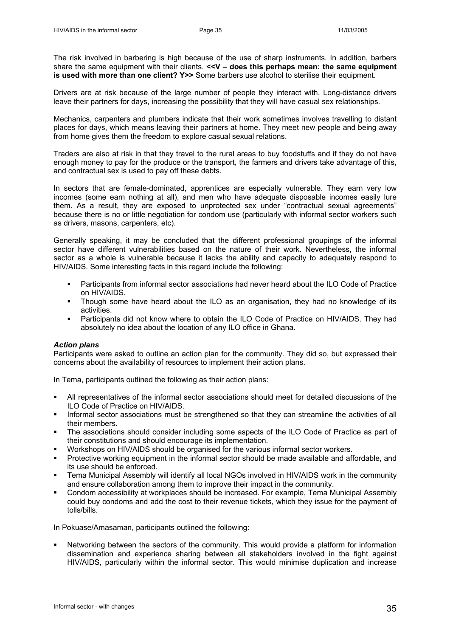The risk involved in barbering is high because of the use of sharp instruments. In addition, barbers share the same equipment with their clients. **<<V – does this perhaps mean: the same equipment is used with more than one client? Y>>** Some barbers use alcohol to sterilise their equipment.

Drivers are at risk because of the large number of people they interact with. Long-distance drivers leave their partners for days, increasing the possibility that they will have casual sex relationships.

Mechanics, carpenters and plumbers indicate that their work sometimes involves travelling to distant places for days, which means leaving their partners at home. They meet new people and being away from home gives them the freedom to explore casual sexual relations.

Traders are also at risk in that they travel to the rural areas to buy foodstuffs and if they do not have enough money to pay for the produce or the transport, the farmers and drivers take advantage of this, and contractual sex is used to pay off these debts.

In sectors that are female-dominated, apprentices are especially vulnerable. They earn very low incomes (some earn nothing at all), and men who have adequate disposable incomes easily lure them. As a result, they are exposed to unprotected sex under "contractual sexual agreements" because there is no or little negotiation for condom use (particularly with informal sector workers such as drivers, masons, carpenters, etc).

Generally speaking, it may be concluded that the different professional groupings of the informal sector have different vulnerabilities based on the nature of their work. Nevertheless, the informal sector as a whole is vulnerable because it lacks the ability and capacity to adequately respond to HIV/AIDS. Some interesting facts in this regard include the following:

- Participants from informal sector associations had never heard about the ILO Code of Practice on HIV/AIDS.
- Though some have heard about the ILO as an organisation, they had no knowledge of its activities.
- Participants did not know where to obtain the ILO Code of Practice on HIV/AIDS. They had absolutely no idea about the location of any ILO office in Ghana.

## *Action plans*

Participants were asked to outline an action plan for the community. They did so, but expressed their concerns about the availability of resources to implement their action plans.

In Tema, participants outlined the following as their action plans:

- All representatives of the informal sector associations should meet for detailed discussions of the ILO Code of Practice on HIV/AIDS.
- Informal sector associations must be strengthened so that they can streamline the activities of all their members.
- The associations should consider including some aspects of the ILO Code of Practice as part of their constitutions and should encourage its implementation.
- Workshops on HIV/AIDS should be organised for the various informal sector workers.
- Protective working equipment in the informal sector should be made available and affordable, and its use should be enforced.
- Tema Municipal Assembly will identify all local NGOs involved in HIV/AIDS work in the community and ensure collaboration among them to improve their impact in the community.
- Condom accessibility at workplaces should be increased. For example, Tema Municipal Assembly could buy condoms and add the cost to their revenue tickets, which they issue for the payment of tolls/bills.

In Pokuase/Amasaman, participants outlined the following:

 Networking between the sectors of the community. This would provide a platform for information dissemination and experience sharing between all stakeholders involved in the fight against HIV/AIDS, particularly within the informal sector. This would minimise duplication and increase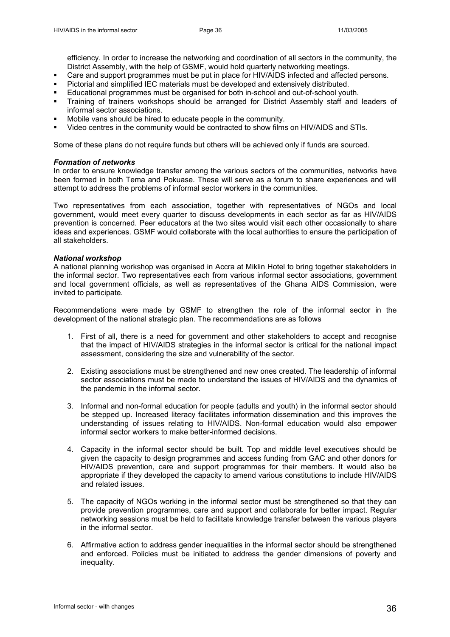efficiency. In order to increase the networking and coordination of all sectors in the community, the District Assembly, with the help of GSMF, would hold quarterly networking meetings.

- Care and support programmes must be put in place for HIV/AIDS infected and affected persons.
- Pictorial and simplified IEC materials must be developed and extensively distributed.
- Educational programmes must be organised for both in-school and out-of-school youth.
- Training of trainers workshops should be arranged for District Assembly staff and leaders of informal sector associations.
- Mobile vans should be hired to educate people in the community.
- Video centres in the community would be contracted to show films on HIV/AIDS and STIs.

Some of these plans do not require funds but others will be achieved only if funds are sourced.

#### *Formation of networks*

In order to ensure knowledge transfer among the various sectors of the communities, networks have been formed in both Tema and Pokuase. These will serve as a forum to share experiences and will attempt to address the problems of informal sector workers in the communities.

Two representatives from each association, together with representatives of NGOs and local government, would meet every quarter to discuss developments in each sector as far as HIV/AIDS prevention is concerned. Peer educators at the two sites would visit each other occasionally to share ideas and experiences. GSMF would collaborate with the local authorities to ensure the participation of all stakeholders.

#### *National workshop*

A national planning workshop was organised in Accra at Miklin Hotel to bring together stakeholders in the informal sector. Two representatives each from various informal sector associations, government and local government officials, as well as representatives of the Ghana AIDS Commission, were invited to participate.

Recommendations were made by GSMF to strengthen the role of the informal sector in the development of the national strategic plan. The recommendations are as follows

- 1. First of all, there is a need for government and other stakeholders to accept and recognise that the impact of HIV/AIDS strategies in the informal sector is critical for the national impact assessment, considering the size and vulnerability of the sector.
- 2. Existing associations must be strengthened and new ones created. The leadership of informal sector associations must be made to understand the issues of HIV/AIDS and the dynamics of the pandemic in the informal sector.
- 3. Informal and non-formal education for people (adults and youth) in the informal sector should be stepped up. Increased literacy facilitates information dissemination and this improves the understanding of issues relating to HIV/AIDS. Non-formal education would also empower informal sector workers to make better-informed decisions.
- 4. Capacity in the informal sector should be built. Top and middle level executives should be given the capacity to design programmes and access funding from GAC and other donors for HIV/AIDS prevention, care and support programmes for their members. It would also be appropriate if they developed the capacity to amend various constitutions to include HIV/AIDS and related issues.
- 5. The capacity of NGOs working in the informal sector must be strengthened so that they can provide prevention programmes, care and support and collaborate for better impact. Regular networking sessions must be held to facilitate knowledge transfer between the various players in the informal sector.
- 6. Affirmative action to address gender inequalities in the informal sector should be strengthened and enforced. Policies must be initiated to address the gender dimensions of poverty and inequality.